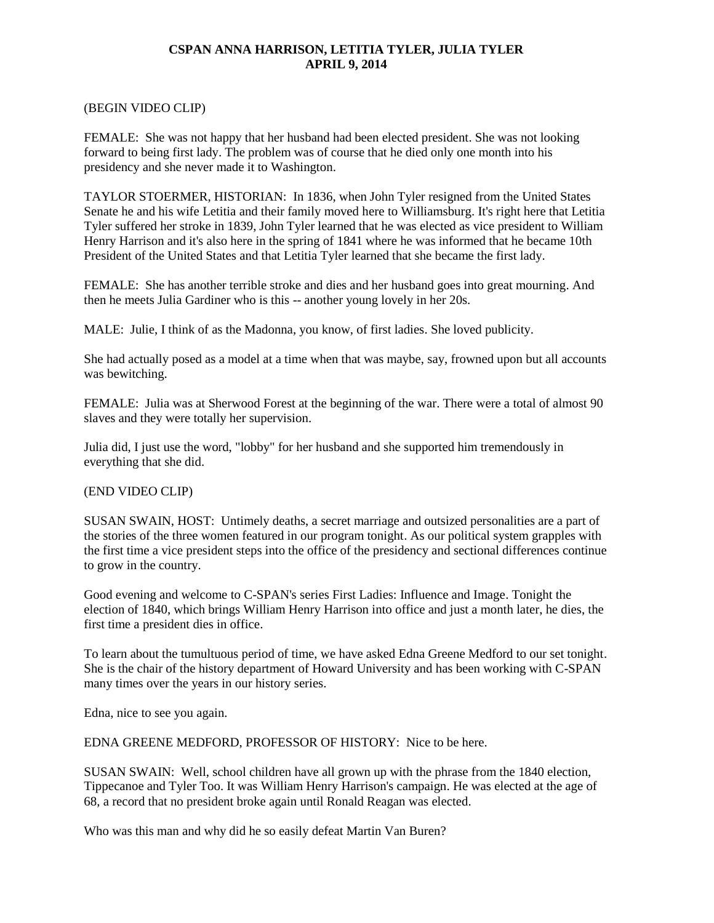#### **CSPAN ANNA HARRISON, LETITIA TYLER, JULIA TYLER APRIL 9, 2014**

### (BEGIN VIDEO CLIP)

FEMALE: She was not happy that her husband had been elected president. She was not looking forward to being first lady. The problem was of course that he died only one month into his presidency and she never made it to Washington.

TAYLOR STOERMER, HISTORIAN: In 1836, when John Tyler resigned from the United States Senate he and his wife Letitia and their family moved here to Williamsburg. It's right here that Letitia Tyler suffered her stroke in 1839, John Tyler learned that he was elected as vice president to William Henry Harrison and it's also here in the spring of 1841 where he was informed that he became 10th President of the United States and that Letitia Tyler learned that she became the first lady.

FEMALE: She has another terrible stroke and dies and her husband goes into great mourning. And then he meets Julia Gardiner who is this -- another young lovely in her 20s.

MALE: Julie, I think of as the Madonna, you know, of first ladies. She loved publicity.

She had actually posed as a model at a time when that was maybe, say, frowned upon but all accounts was bewitching.

FEMALE: Julia was at Sherwood Forest at the beginning of the war. There were a total of almost 90 slaves and they were totally her supervision.

Julia did, I just use the word, "lobby" for her husband and she supported him tremendously in everything that she did.

### (END VIDEO CLIP)

SUSAN SWAIN, HOST: Untimely deaths, a secret marriage and outsized personalities are a part of the stories of the three women featured in our program tonight. As our political system grapples with the first time a vice president steps into the office of the presidency and sectional differences continue to grow in the country.

Good evening and welcome to C-SPAN's series First Ladies: Influence and Image. Tonight the election of 1840, which brings William Henry Harrison into office and just a month later, he dies, the first time a president dies in office.

To learn about the tumultuous period of time, we have asked Edna Greene Medford to our set tonight. She is the chair of the history department of Howard University and has been working with C-SPAN many times over the years in our history series.

Edna, nice to see you again.

EDNA GREENE MEDFORD, PROFESSOR OF HISTORY: Nice to be here.

SUSAN SWAIN: Well, school children have all grown up with the phrase from the 1840 election, Tippecanoe and Tyler Too. It was William Henry Harrison's campaign. He was elected at the age of 68, a record that no president broke again until Ronald Reagan was elected.

Who was this man and why did he so easily defeat Martin Van Buren?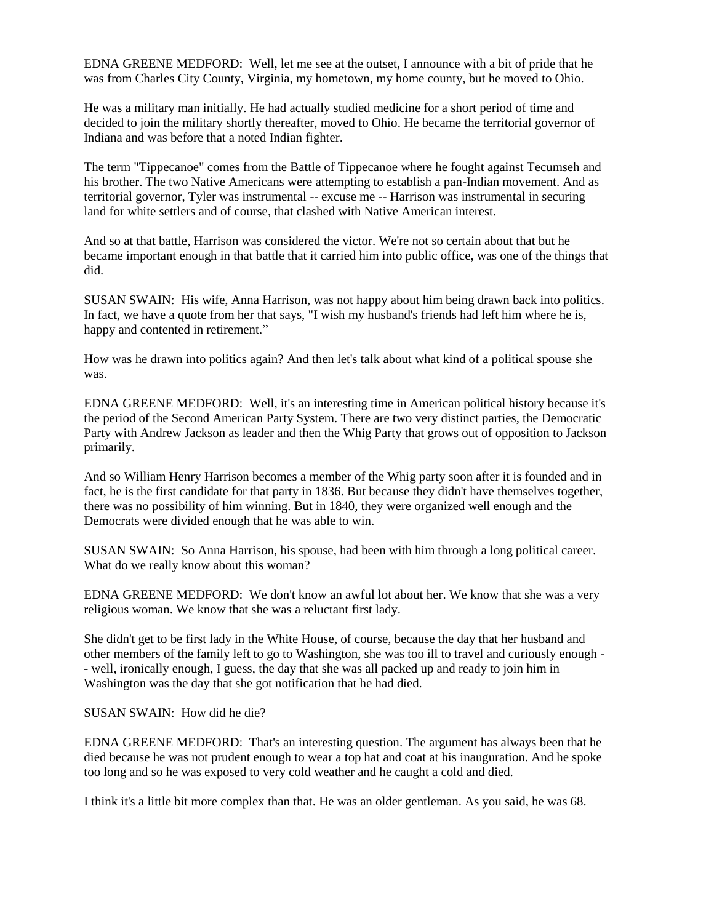EDNA GREENE MEDFORD: Well, let me see at the outset, I announce with a bit of pride that he was from Charles City County, Virginia, my hometown, my home county, but he moved to Ohio.

He was a military man initially. He had actually studied medicine for a short period of time and decided to join the military shortly thereafter, moved to Ohio. He became the territorial governor of Indiana and was before that a noted Indian fighter.

The term "Tippecanoe" comes from the Battle of Tippecanoe where he fought against Tecumseh and his brother. The two Native Americans were attempting to establish a pan-Indian movement. And as territorial governor, Tyler was instrumental -- excuse me -- Harrison was instrumental in securing land for white settlers and of course, that clashed with Native American interest.

And so at that battle, Harrison was considered the victor. We're not so certain about that but he became important enough in that battle that it carried him into public office, was one of the things that did.

SUSAN SWAIN: His wife, Anna Harrison, was not happy about him being drawn back into politics. In fact, we have a quote from her that says, "I wish my husband's friends had left him where he is, happy and contented in retirement."

How was he drawn into politics again? And then let's talk about what kind of a political spouse she was.

EDNA GREENE MEDFORD: Well, it's an interesting time in American political history because it's the period of the Second American Party System. There are two very distinct parties, the Democratic Party with Andrew Jackson as leader and then the Whig Party that grows out of opposition to Jackson primarily.

And so William Henry Harrison becomes a member of the Whig party soon after it is founded and in fact, he is the first candidate for that party in 1836. But because they didn't have themselves together, there was no possibility of him winning. But in 1840, they were organized well enough and the Democrats were divided enough that he was able to win.

SUSAN SWAIN: So Anna Harrison, his spouse, had been with him through a long political career. What do we really know about this woman?

EDNA GREENE MEDFORD: We don't know an awful lot about her. We know that she was a very religious woman. We know that she was a reluctant first lady.

She didn't get to be first lady in the White House, of course, because the day that her husband and other members of the family left to go to Washington, she was too ill to travel and curiously enough - - well, ironically enough, I guess, the day that she was all packed up and ready to join him in Washington was the day that she got notification that he had died.

SUSAN SWAIN: How did he die?

EDNA GREENE MEDFORD: That's an interesting question. The argument has always been that he died because he was not prudent enough to wear a top hat and coat at his inauguration. And he spoke too long and so he was exposed to very cold weather and he caught a cold and died.

I think it's a little bit more complex than that. He was an older gentleman. As you said, he was 68.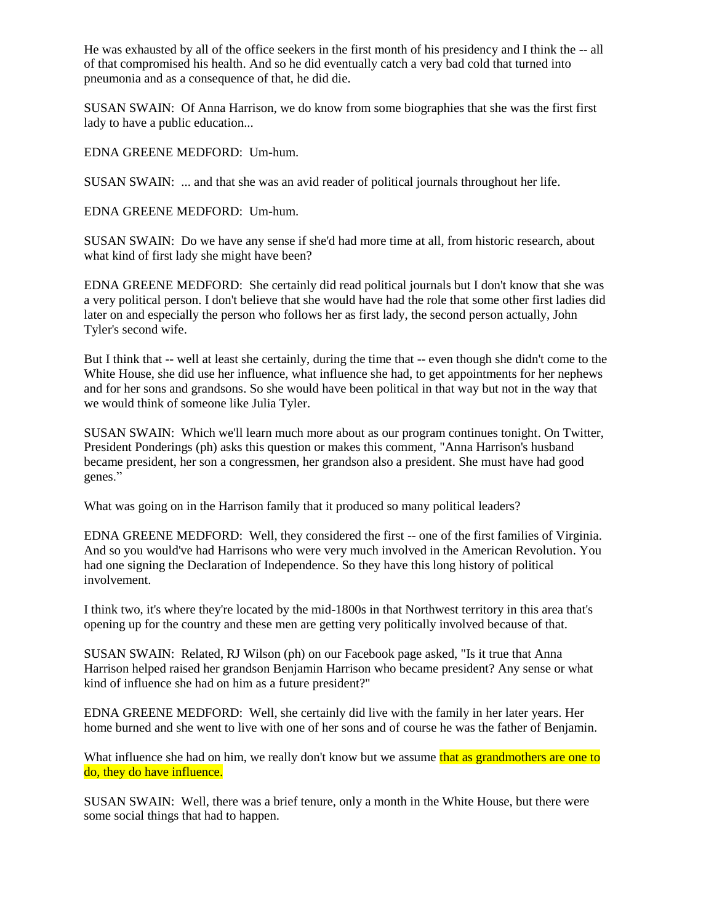He was exhausted by all of the office seekers in the first month of his presidency and I think the -- all of that compromised his health. And so he did eventually catch a very bad cold that turned into pneumonia and as a consequence of that, he did die.

SUSAN SWAIN: Of Anna Harrison, we do know from some biographies that she was the first first lady to have a public education...

EDNA GREENE MEDFORD: Um-hum.

SUSAN SWAIN: ... and that she was an avid reader of political journals throughout her life.

EDNA GREENE MEDFORD: Um-hum.

SUSAN SWAIN: Do we have any sense if she'd had more time at all, from historic research, about what kind of first lady she might have been?

EDNA GREENE MEDFORD: She certainly did read political journals but I don't know that she was a very political person. I don't believe that she would have had the role that some other first ladies did later on and especially the person who follows her as first lady, the second person actually, John Tyler's second wife.

But I think that -- well at least she certainly, during the time that -- even though she didn't come to the White House, she did use her influence, what influence she had, to get appointments for her nephews and for her sons and grandsons. So she would have been political in that way but not in the way that we would think of someone like Julia Tyler.

SUSAN SWAIN: Which we'll learn much more about as our program continues tonight. On Twitter, President Ponderings (ph) asks this question or makes this comment, "Anna Harrison's husband became president, her son a congressmen, her grandson also a president. She must have had good genes."

What was going on in the Harrison family that it produced so many political leaders?

EDNA GREENE MEDFORD: Well, they considered the first -- one of the first families of Virginia. And so you would've had Harrisons who were very much involved in the American Revolution. You had one signing the Declaration of Independence. So they have this long history of political involvement.

I think two, it's where they're located by the mid-1800s in that Northwest territory in this area that's opening up for the country and these men are getting very politically involved because of that.

SUSAN SWAIN: Related, RJ Wilson (ph) on our Facebook page asked, "Is it true that Anna Harrison helped raised her grandson Benjamin Harrison who became president? Any sense or what kind of influence she had on him as a future president?"

EDNA GREENE MEDFORD: Well, she certainly did live with the family in her later years. Her home burned and she went to live with one of her sons and of course he was the father of Benjamin.

What influence she had on him, we really don't know but we assume that as grandmothers are one to do, they do have influence.

SUSAN SWAIN: Well, there was a brief tenure, only a month in the White House, but there were some social things that had to happen.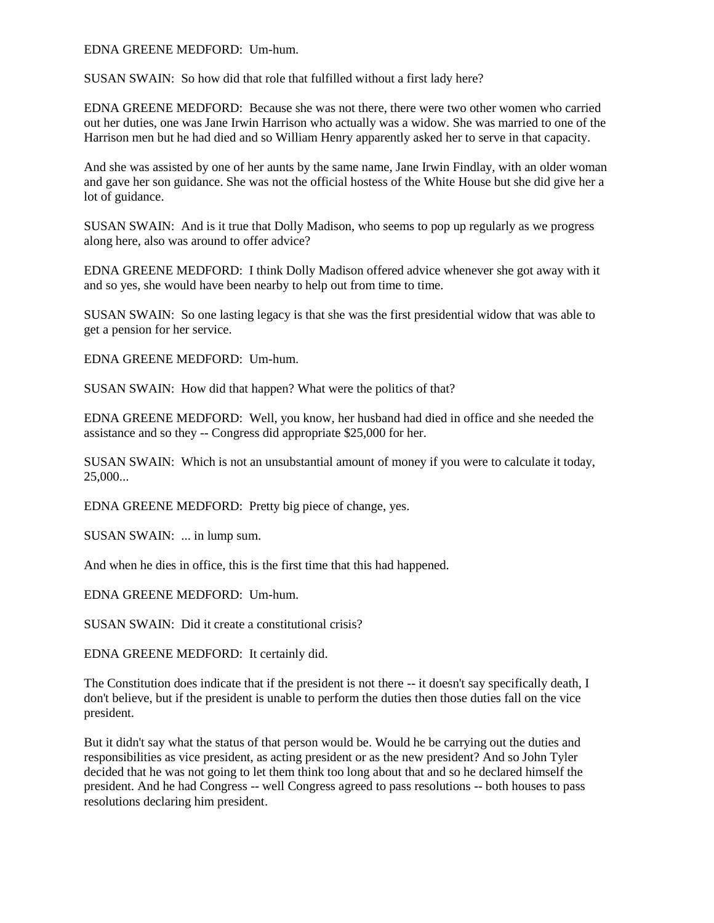#### EDNA GREENE MEDFORD: Um-hum.

SUSAN SWAIN: So how did that role that fulfilled without a first lady here?

EDNA GREENE MEDFORD: Because she was not there, there were two other women who carried out her duties, one was Jane Irwin Harrison who actually was a widow. She was married to one of the Harrison men but he had died and so William Henry apparently asked her to serve in that capacity.

And she was assisted by one of her aunts by the same name, Jane Irwin Findlay, with an older woman and gave her son guidance. She was not the official hostess of the White House but she did give her a lot of guidance.

SUSAN SWAIN: And is it true that Dolly Madison, who seems to pop up regularly as we progress along here, also was around to offer advice?

EDNA GREENE MEDFORD: I think Dolly Madison offered advice whenever she got away with it and so yes, she would have been nearby to help out from time to time.

SUSAN SWAIN: So one lasting legacy is that she was the first presidential widow that was able to get a pension for her service.

EDNA GREENE MEDFORD: Um-hum.

SUSAN SWAIN: How did that happen? What were the politics of that?

EDNA GREENE MEDFORD: Well, you know, her husband had died in office and she needed the assistance and so they -- Congress did appropriate \$25,000 for her.

SUSAN SWAIN: Which is not an unsubstantial amount of money if you were to calculate it today, 25,000...

EDNA GREENE MEDFORD: Pretty big piece of change, yes.

SUSAN SWAIN: ... in lump sum.

And when he dies in office, this is the first time that this had happened.

EDNA GREENE MEDFORD: Um-hum.

SUSAN SWAIN: Did it create a constitutional crisis?

EDNA GREENE MEDFORD: It certainly did.

The Constitution does indicate that if the president is not there -- it doesn't say specifically death, I don't believe, but if the president is unable to perform the duties then those duties fall on the vice president.

But it didn't say what the status of that person would be. Would he be carrying out the duties and responsibilities as vice president, as acting president or as the new president? And so John Tyler decided that he was not going to let them think too long about that and so he declared himself the president. And he had Congress -- well Congress agreed to pass resolutions -- both houses to pass resolutions declaring him president.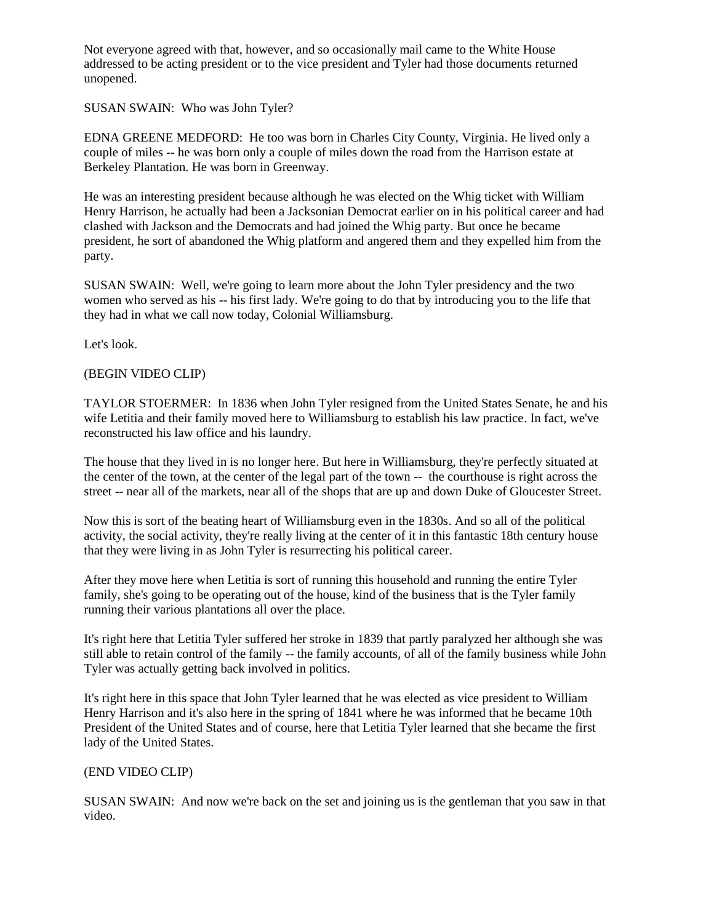Not everyone agreed with that, however, and so occasionally mail came to the White House addressed to be acting president or to the vice president and Tyler had those documents returned unopened.

# SUSAN SWAIN: Who was John Tyler?

EDNA GREENE MEDFORD: He too was born in Charles City County, Virginia. He lived only a couple of miles -- he was born only a couple of miles down the road from the Harrison estate at Berkeley Plantation. He was born in Greenway.

He was an interesting president because although he was elected on the Whig ticket with William Henry Harrison, he actually had been a Jacksonian Democrat earlier on in his political career and had clashed with Jackson and the Democrats and had joined the Whig party. But once he became president, he sort of abandoned the Whig platform and angered them and they expelled him from the party.

SUSAN SWAIN: Well, we're going to learn more about the John Tyler presidency and the two women who served as his -- his first lady. We're going to do that by introducing you to the life that they had in what we call now today, Colonial Williamsburg.

Let's look.

# (BEGIN VIDEO CLIP)

TAYLOR STOERMER: In 1836 when John Tyler resigned from the United States Senate, he and his wife Letitia and their family moved here to Williamsburg to establish his law practice. In fact, we've reconstructed his law office and his laundry.

The house that they lived in is no longer here. But here in Williamsburg, they're perfectly situated at the center of the town, at the center of the legal part of the town -- the courthouse is right across the street -- near all of the markets, near all of the shops that are up and down Duke of Gloucester Street.

Now this is sort of the beating heart of Williamsburg even in the 1830s. And so all of the political activity, the social activity, they're really living at the center of it in this fantastic 18th century house that they were living in as John Tyler is resurrecting his political career.

After they move here when Letitia is sort of running this household and running the entire Tyler family, she's going to be operating out of the house, kind of the business that is the Tyler family running their various plantations all over the place.

It's right here that Letitia Tyler suffered her stroke in 1839 that partly paralyzed her although she was still able to retain control of the family -- the family accounts, of all of the family business while John Tyler was actually getting back involved in politics.

It's right here in this space that John Tyler learned that he was elected as vice president to William Henry Harrison and it's also here in the spring of 1841 where he was informed that he became 10th President of the United States and of course, here that Letitia Tyler learned that she became the first lady of the United States.

### (END VIDEO CLIP)

SUSAN SWAIN: And now we're back on the set and joining us is the gentleman that you saw in that video.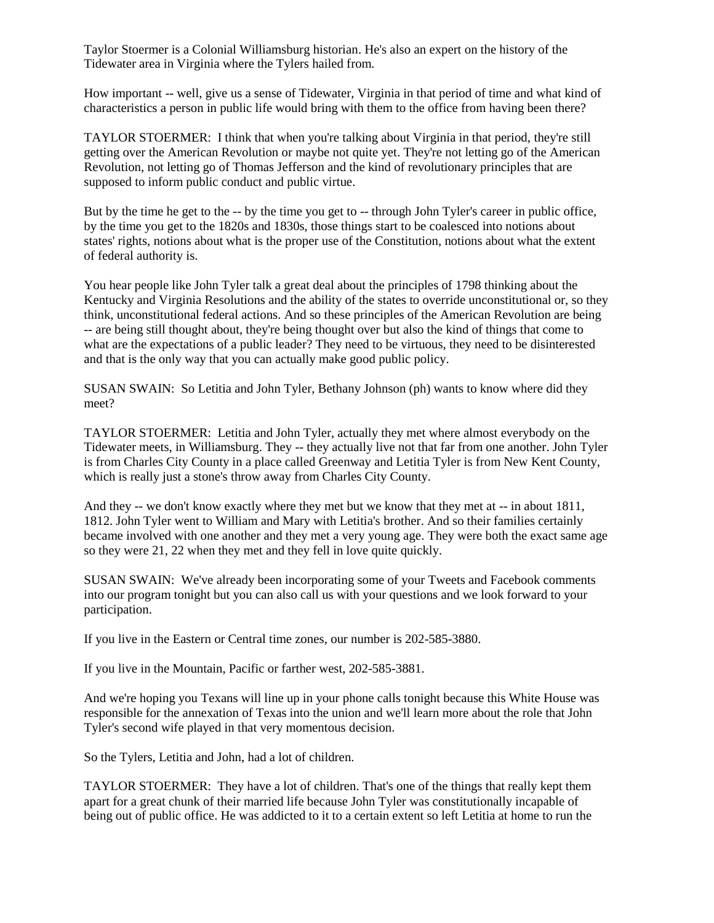Taylor Stoermer is a Colonial Williamsburg historian. He's also an expert on the history of the Tidewater area in Virginia where the Tylers hailed from.

How important -- well, give us a sense of Tidewater, Virginia in that period of time and what kind of characteristics a person in public life would bring with them to the office from having been there?

TAYLOR STOERMER: I think that when you're talking about Virginia in that period, they're still getting over the American Revolution or maybe not quite yet. They're not letting go of the American Revolution, not letting go of Thomas Jefferson and the kind of revolutionary principles that are supposed to inform public conduct and public virtue.

But by the time he get to the -- by the time you get to -- through John Tyler's career in public office, by the time you get to the 1820s and 1830s, those things start to be coalesced into notions about states' rights, notions about what is the proper use of the Constitution, notions about what the extent of federal authority is.

You hear people like John Tyler talk a great deal about the principles of 1798 thinking about the Kentucky and Virginia Resolutions and the ability of the states to override unconstitutional or, so they think, unconstitutional federal actions. And so these principles of the American Revolution are being -- are being still thought about, they're being thought over but also the kind of things that come to what are the expectations of a public leader? They need to be virtuous, they need to be disinterested and that is the only way that you can actually make good public policy.

SUSAN SWAIN: So Letitia and John Tyler, Bethany Johnson (ph) wants to know where did they meet?

TAYLOR STOERMER: Letitia and John Tyler, actually they met where almost everybody on the Tidewater meets, in Williamsburg. They -- they actually live not that far from one another. John Tyler is from Charles City County in a place called Greenway and Letitia Tyler is from New Kent County, which is really just a stone's throw away from Charles City County.

And they -- we don't know exactly where they met but we know that they met at -- in about 1811, 1812. John Tyler went to William and Mary with Letitia's brother. And so their families certainly became involved with one another and they met a very young age. They were both the exact same age so they were 21, 22 when they met and they fell in love quite quickly.

SUSAN SWAIN: We've already been incorporating some of your Tweets and Facebook comments into our program tonight but you can also call us with your questions and we look forward to your participation.

If you live in the Eastern or Central time zones, our number is 202-585-3880.

If you live in the Mountain, Pacific or farther west, 202-585-3881.

And we're hoping you Texans will line up in your phone calls tonight because this White House was responsible for the annexation of Texas into the union and we'll learn more about the role that John Tyler's second wife played in that very momentous decision.

So the Tylers, Letitia and John, had a lot of children.

TAYLOR STOERMER: They have a lot of children. That's one of the things that really kept them apart for a great chunk of their married life because John Tyler was constitutionally incapable of being out of public office. He was addicted to it to a certain extent so left Letitia at home to run the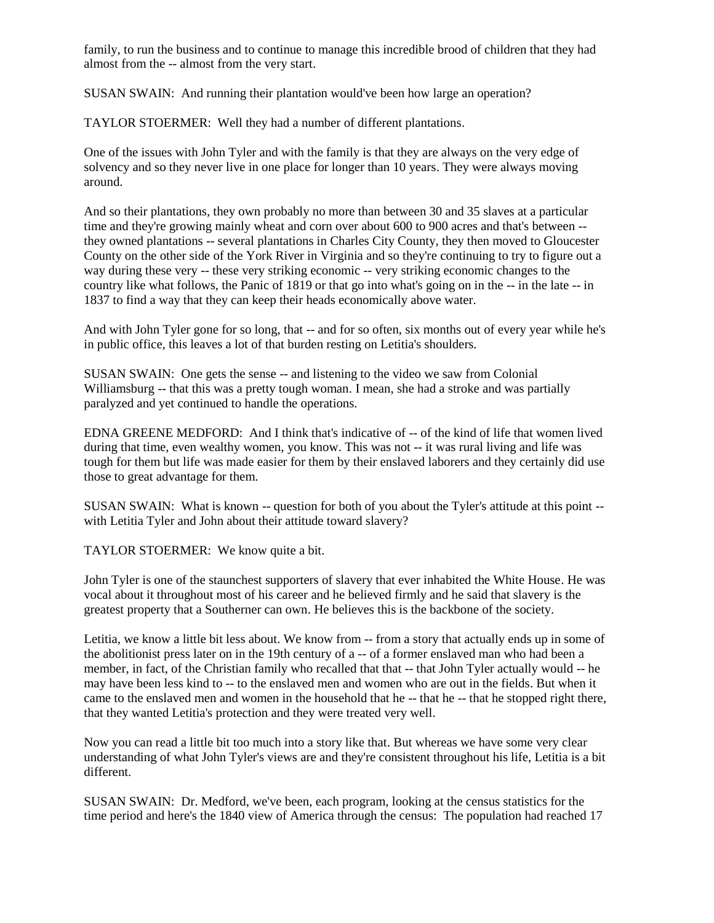family, to run the business and to continue to manage this incredible brood of children that they had almost from the -- almost from the very start.

SUSAN SWAIN: And running their plantation would've been how large an operation?

TAYLOR STOERMER: Well they had a number of different plantations.

One of the issues with John Tyler and with the family is that they are always on the very edge of solvency and so they never live in one place for longer than 10 years. They were always moving around.

And so their plantations, they own probably no more than between 30 and 35 slaves at a particular time and they're growing mainly wheat and corn over about 600 to 900 acres and that's between - they owned plantations -- several plantations in Charles City County, they then moved to Gloucester County on the other side of the York River in Virginia and so they're continuing to try to figure out a way during these very -- these very striking economic -- very striking economic changes to the country like what follows, the Panic of 1819 or that go into what's going on in the -- in the late -- in 1837 to find a way that they can keep their heads economically above water.

And with John Tyler gone for so long, that -- and for so often, six months out of every year while he's in public office, this leaves a lot of that burden resting on Letitia's shoulders.

SUSAN SWAIN: One gets the sense -- and listening to the video we saw from Colonial Williamsburg -- that this was a pretty tough woman. I mean, she had a stroke and was partially paralyzed and yet continued to handle the operations.

EDNA GREENE MEDFORD: And I think that's indicative of -- of the kind of life that women lived during that time, even wealthy women, you know. This was not -- it was rural living and life was tough for them but life was made easier for them by their enslaved laborers and they certainly did use those to great advantage for them.

SUSAN SWAIN: What is known -- question for both of you about the Tyler's attitude at this point - with Letitia Tyler and John about their attitude toward slavery?

TAYLOR STOERMER: We know quite a bit.

John Tyler is one of the staunchest supporters of slavery that ever inhabited the White House. He was vocal about it throughout most of his career and he believed firmly and he said that slavery is the greatest property that a Southerner can own. He believes this is the backbone of the society.

Letitia, we know a little bit less about. We know from -- from a story that actually ends up in some of the abolitionist press later on in the 19th century of a -- of a former enslaved man who had been a member, in fact, of the Christian family who recalled that that -- that John Tyler actually would -- he may have been less kind to -- to the enslaved men and women who are out in the fields. But when it came to the enslaved men and women in the household that he -- that he -- that he stopped right there, that they wanted Letitia's protection and they were treated very well.

Now you can read a little bit too much into a story like that. But whereas we have some very clear understanding of what John Tyler's views are and they're consistent throughout his life, Letitia is a bit different.

SUSAN SWAIN: Dr. Medford, we've been, each program, looking at the census statistics for the time period and here's the 1840 view of America through the census: The population had reached 17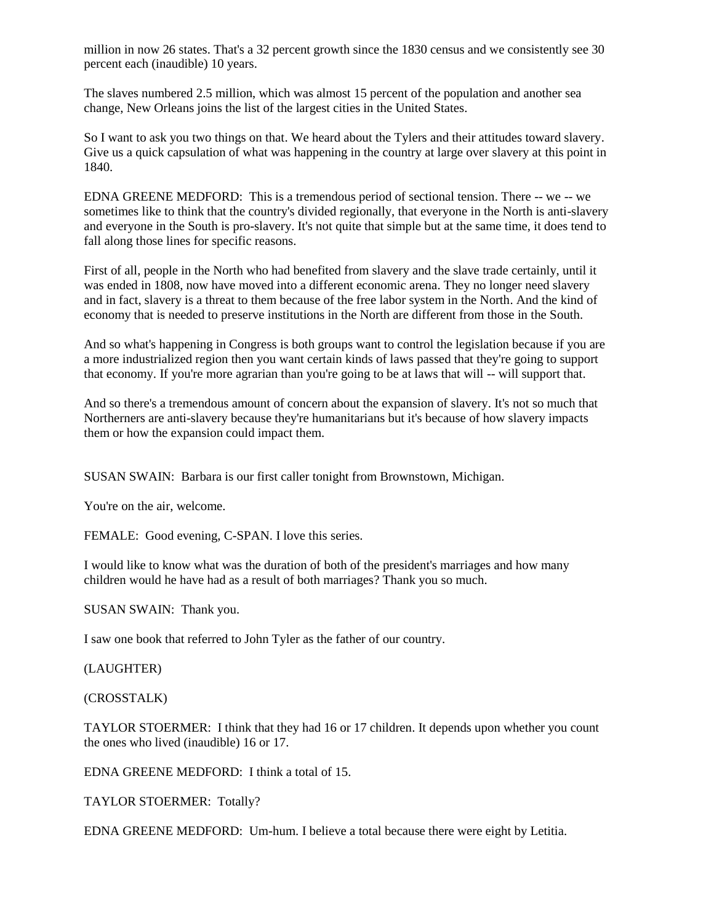million in now 26 states. That's a 32 percent growth since the 1830 census and we consistently see 30 percent each (inaudible) 10 years.

The slaves numbered 2.5 million, which was almost 15 percent of the population and another sea change, New Orleans joins the list of the largest cities in the United States.

So I want to ask you two things on that. We heard about the Tylers and their attitudes toward slavery. Give us a quick capsulation of what was happening in the country at large over slavery at this point in 1840.

EDNA GREENE MEDFORD: This is a tremendous period of sectional tension. There -- we -- we sometimes like to think that the country's divided regionally, that everyone in the North is anti-slavery and everyone in the South is pro-slavery. It's not quite that simple but at the same time, it does tend to fall along those lines for specific reasons.

First of all, people in the North who had benefited from slavery and the slave trade certainly, until it was ended in 1808, now have moved into a different economic arena. They no longer need slavery and in fact, slavery is a threat to them because of the free labor system in the North. And the kind of economy that is needed to preserve institutions in the North are different from those in the South.

And so what's happening in Congress is both groups want to control the legislation because if you are a more industrialized region then you want certain kinds of laws passed that they're going to support that economy. If you're more agrarian than you're going to be at laws that will -- will support that.

And so there's a tremendous amount of concern about the expansion of slavery. It's not so much that Northerners are anti-slavery because they're humanitarians but it's because of how slavery impacts them or how the expansion could impact them.

SUSAN SWAIN: Barbara is our first caller tonight from Brownstown, Michigan.

You're on the air, welcome.

FEMALE: Good evening, C-SPAN. I love this series.

I would like to know what was the duration of both of the president's marriages and how many children would he have had as a result of both marriages? Thank you so much.

SUSAN SWAIN: Thank you.

I saw one book that referred to John Tyler as the father of our country.

#### (LAUGHTER)

(CROSSTALK)

TAYLOR STOERMER: I think that they had 16 or 17 children. It depends upon whether you count the ones who lived (inaudible) 16 or 17.

EDNA GREENE MEDFORD: I think a total of 15.

TAYLOR STOERMER: Totally?

EDNA GREENE MEDFORD: Um-hum. I believe a total because there were eight by Letitia.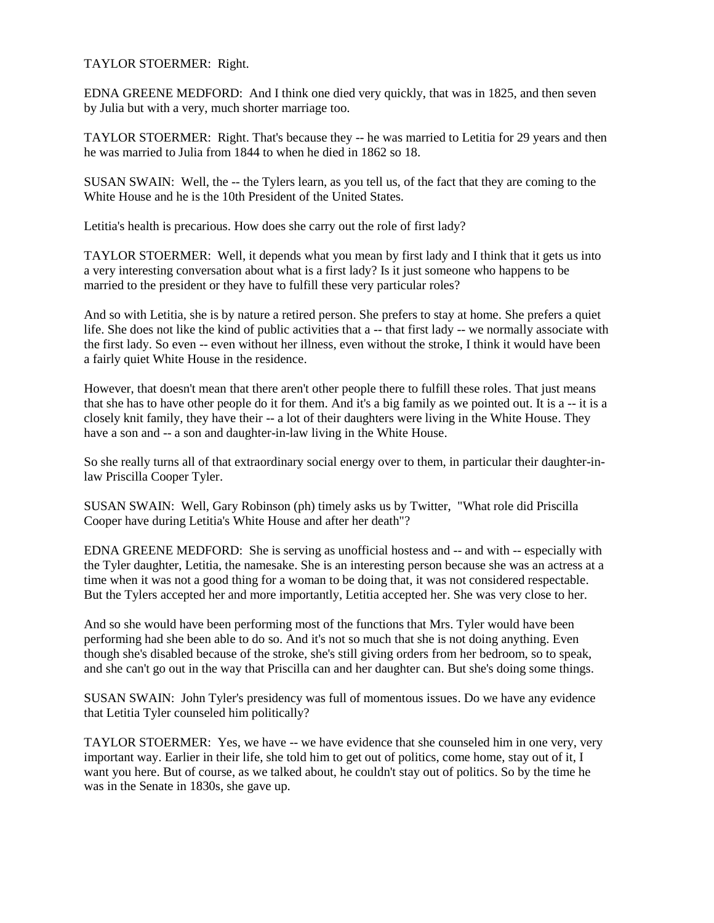# TAYLOR STOERMER: Right.

EDNA GREENE MEDFORD: And I think one died very quickly, that was in 1825, and then seven by Julia but with a very, much shorter marriage too.

TAYLOR STOERMER: Right. That's because they -- he was married to Letitia for 29 years and then he was married to Julia from 1844 to when he died in 1862 so 18.

SUSAN SWAIN: Well, the -- the Tylers learn, as you tell us, of the fact that they are coming to the White House and he is the 10th President of the United States.

Letitia's health is precarious. How does she carry out the role of first lady?

TAYLOR STOERMER: Well, it depends what you mean by first lady and I think that it gets us into a very interesting conversation about what is a first lady? Is it just someone who happens to be married to the president or they have to fulfill these very particular roles?

And so with Letitia, she is by nature a retired person. She prefers to stay at home. She prefers a quiet life. She does not like the kind of public activities that a -- that first lady -- we normally associate with the first lady. So even -- even without her illness, even without the stroke, I think it would have been a fairly quiet White House in the residence.

However, that doesn't mean that there aren't other people there to fulfill these roles. That just means that she has to have other people do it for them. And it's a big family as we pointed out. It is a -- it is a closely knit family, they have their -- a lot of their daughters were living in the White House. They have a son and -- a son and daughter-in-law living in the White House.

So she really turns all of that extraordinary social energy over to them, in particular their daughter-inlaw Priscilla Cooper Tyler.

SUSAN SWAIN: Well, Gary Robinson (ph) timely asks us by Twitter, "What role did Priscilla Cooper have during Letitia's White House and after her death"?

EDNA GREENE MEDFORD: She is serving as unofficial hostess and -- and with -- especially with the Tyler daughter, Letitia, the namesake. She is an interesting person because she was an actress at a time when it was not a good thing for a woman to be doing that, it was not considered respectable. But the Tylers accepted her and more importantly, Letitia accepted her. She was very close to her.

And so she would have been performing most of the functions that Mrs. Tyler would have been performing had she been able to do so. And it's not so much that she is not doing anything. Even though she's disabled because of the stroke, she's still giving orders from her bedroom, so to speak, and she can't go out in the way that Priscilla can and her daughter can. But she's doing some things.

SUSAN SWAIN: John Tyler's presidency was full of momentous issues. Do we have any evidence that Letitia Tyler counseled him politically?

TAYLOR STOERMER: Yes, we have -- we have evidence that she counseled him in one very, very important way. Earlier in their life, she told him to get out of politics, come home, stay out of it, I want you here. But of course, as we talked about, he couldn't stay out of politics. So by the time he was in the Senate in 1830s, she gave up.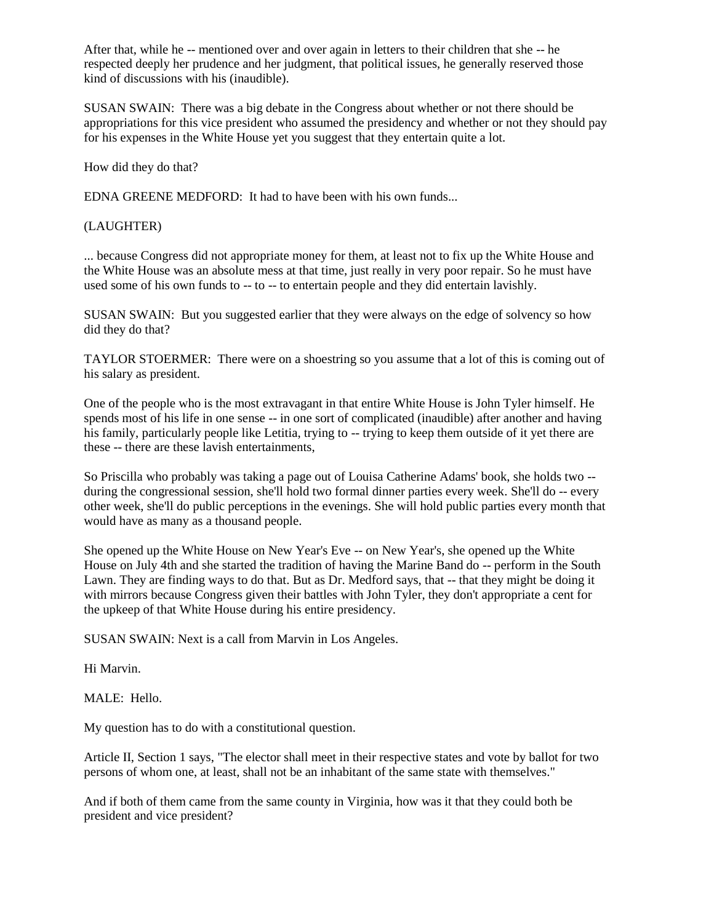After that, while he -- mentioned over and over again in letters to their children that she -- he respected deeply her prudence and her judgment, that political issues, he generally reserved those kind of discussions with his (inaudible).

SUSAN SWAIN: There was a big debate in the Congress about whether or not there should be appropriations for this vice president who assumed the presidency and whether or not they should pay for his expenses in the White House yet you suggest that they entertain quite a lot.

How did they do that?

EDNA GREENE MEDFORD: It had to have been with his own funds...

(LAUGHTER)

... because Congress did not appropriate money for them, at least not to fix up the White House and the White House was an absolute mess at that time, just really in very poor repair. So he must have used some of his own funds to -- to -- to entertain people and they did entertain lavishly.

SUSAN SWAIN: But you suggested earlier that they were always on the edge of solvency so how did they do that?

TAYLOR STOERMER: There were on a shoestring so you assume that a lot of this is coming out of his salary as president.

One of the people who is the most extravagant in that entire White House is John Tyler himself. He spends most of his life in one sense -- in one sort of complicated (inaudible) after another and having his family, particularly people like Letitia, trying to -- trying to keep them outside of it yet there are these -- there are these lavish entertainments,

So Priscilla who probably was taking a page out of Louisa Catherine Adams' book, she holds two - during the congressional session, she'll hold two formal dinner parties every week. She'll do -- every other week, she'll do public perceptions in the evenings. She will hold public parties every month that would have as many as a thousand people.

She opened up the White House on New Year's Eve -- on New Year's, she opened up the White House on July 4th and she started the tradition of having the Marine Band do -- perform in the South Lawn. They are finding ways to do that. But as Dr. Medford says, that -- that they might be doing it with mirrors because Congress given their battles with John Tyler, they don't appropriate a cent for the upkeep of that White House during his entire presidency.

SUSAN SWAIN: Next is a call from Marvin in Los Angeles.

Hi Marvin.

MALE: Hello.

My question has to do with a constitutional question.

Article II, Section 1 says, "The elector shall meet in their respective states and vote by ballot for two persons of whom one, at least, shall not be an inhabitant of the same state with themselves."

And if both of them came from the same county in Virginia, how was it that they could both be president and vice president?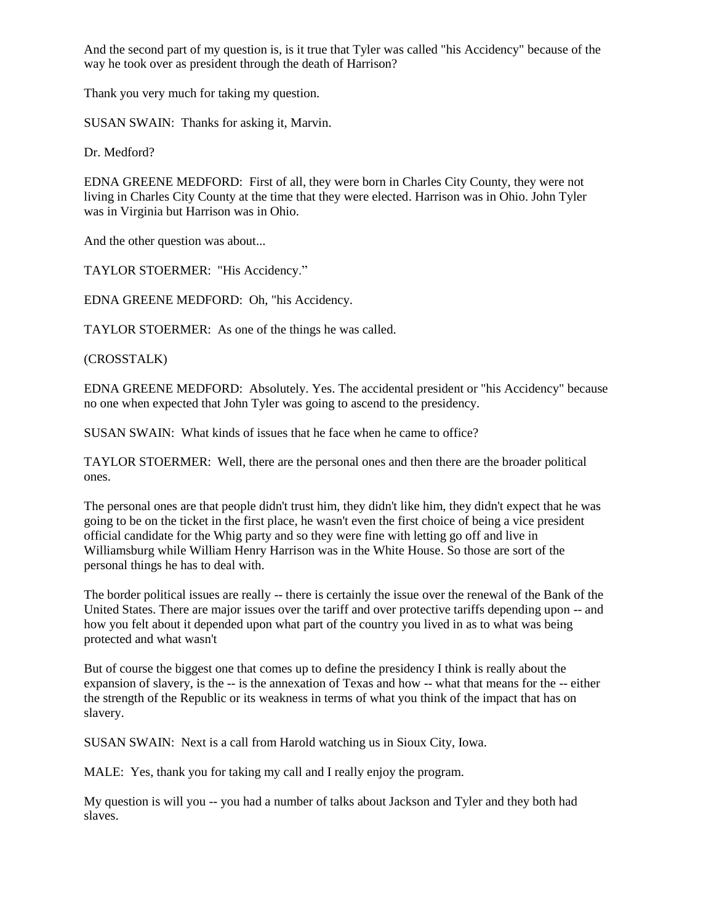And the second part of my question is, is it true that Tyler was called "his Accidency" because of the way he took over as president through the death of Harrison?

Thank you very much for taking my question.

SUSAN SWAIN: Thanks for asking it, Marvin.

Dr. Medford?

EDNA GREENE MEDFORD: First of all, they were born in Charles City County, they were not living in Charles City County at the time that they were elected. Harrison was in Ohio. John Tyler was in Virginia but Harrison was in Ohio.

And the other question was about...

TAYLOR STOERMER: "His Accidency."

EDNA GREENE MEDFORD: Oh, "his Accidency.

TAYLOR STOERMER: As one of the things he was called.

(CROSSTALK)

EDNA GREENE MEDFORD: Absolutely. Yes. The accidental president or "his Accidency" because no one when expected that John Tyler was going to ascend to the presidency.

SUSAN SWAIN: What kinds of issues that he face when he came to office?

TAYLOR STOERMER: Well, there are the personal ones and then there are the broader political ones.

The personal ones are that people didn't trust him, they didn't like him, they didn't expect that he was going to be on the ticket in the first place, he wasn't even the first choice of being a vice president official candidate for the Whig party and so they were fine with letting go off and live in Williamsburg while William Henry Harrison was in the White House. So those are sort of the personal things he has to deal with.

The border political issues are really -- there is certainly the issue over the renewal of the Bank of the United States. There are major issues over the tariff and over protective tariffs depending upon -- and how you felt about it depended upon what part of the country you lived in as to what was being protected and what wasn't

But of course the biggest one that comes up to define the presidency I think is really about the expansion of slavery, is the -- is the annexation of Texas and how -- what that means for the -- either the strength of the Republic or its weakness in terms of what you think of the impact that has on slavery.

SUSAN SWAIN: Next is a call from Harold watching us in Sioux City, Iowa.

MALE: Yes, thank you for taking my call and I really enjoy the program.

My question is will you -- you had a number of talks about Jackson and Tyler and they both had slaves.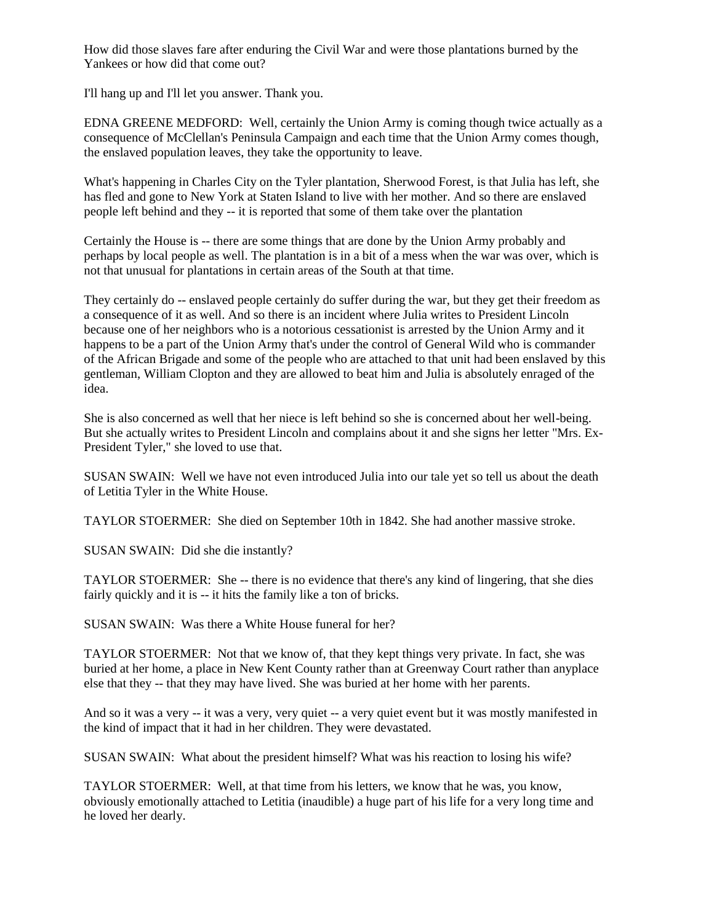How did those slaves fare after enduring the Civil War and were those plantations burned by the Yankees or how did that come out?

I'll hang up and I'll let you answer. Thank you.

EDNA GREENE MEDFORD: Well, certainly the Union Army is coming though twice actually as a consequence of McClellan's Peninsula Campaign and each time that the Union Army comes though, the enslaved population leaves, they take the opportunity to leave.

What's happening in Charles City on the Tyler plantation, Sherwood Forest, is that Julia has left, she has fled and gone to New York at Staten Island to live with her mother. And so there are enslaved people left behind and they -- it is reported that some of them take over the plantation

Certainly the House is -- there are some things that are done by the Union Army probably and perhaps by local people as well. The plantation is in a bit of a mess when the war was over, which is not that unusual for plantations in certain areas of the South at that time.

They certainly do -- enslaved people certainly do suffer during the war, but they get their freedom as a consequence of it as well. And so there is an incident where Julia writes to President Lincoln because one of her neighbors who is a notorious cessationist is arrested by the Union Army and it happens to be a part of the Union Army that's under the control of General Wild who is commander of the African Brigade and some of the people who are attached to that unit had been enslaved by this gentleman, William Clopton and they are allowed to beat him and Julia is absolutely enraged of the idea.

She is also concerned as well that her niece is left behind so she is concerned about her well-being. But she actually writes to President Lincoln and complains about it and she signs her letter "Mrs. Ex-President Tyler," she loved to use that.

SUSAN SWAIN: Well we have not even introduced Julia into our tale yet so tell us about the death of Letitia Tyler in the White House.

TAYLOR STOERMER: She died on September 10th in 1842. She had another massive stroke.

SUSAN SWAIN: Did she die instantly?

TAYLOR STOERMER: She -- there is no evidence that there's any kind of lingering, that she dies fairly quickly and it is -- it hits the family like a ton of bricks.

SUSAN SWAIN: Was there a White House funeral for her?

TAYLOR STOERMER: Not that we know of, that they kept things very private. In fact, she was buried at her home, a place in New Kent County rather than at Greenway Court rather than anyplace else that they -- that they may have lived. She was buried at her home with her parents.

And so it was a very -- it was a very, very quiet -- a very quiet event but it was mostly manifested in the kind of impact that it had in her children. They were devastated.

SUSAN SWAIN: What about the president himself? What was his reaction to losing his wife?

TAYLOR STOERMER: Well, at that time from his letters, we know that he was, you know, obviously emotionally attached to Letitia (inaudible) a huge part of his life for a very long time and he loved her dearly.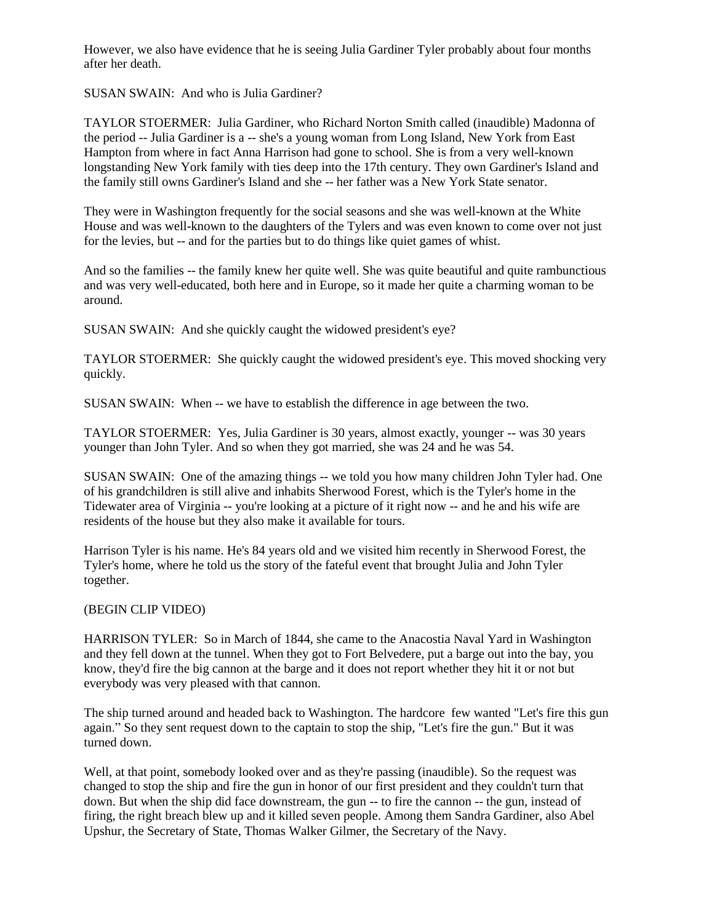However, we also have evidence that he is seeing Julia Gardiner Tyler probably about four months after her death.

SUSAN SWAIN: And who is Julia Gardiner?

TAYLOR STOERMER: Julia Gardiner, who Richard Norton Smith called (inaudible) Madonna of the period -- Julia Gardiner is a -- she's a young woman from Long Island, New York from East Hampton from where in fact Anna Harrison had gone to school. She is from a very well-known longstanding New York family with ties deep into the 17th century. They own Gardiner's Island and the family still owns Gardiner's Island and she -- her father was a New York State senator.

They were in Washington frequently for the social seasons and she was well-known at the White House and was well-known to the daughters of the Tylers and was even known to come over not just for the levies, but -- and for the parties but to do things like quiet games of whist.

And so the families -- the family knew her quite well. She was quite beautiful and quite rambunctious and was very well-educated, both here and in Europe, so it made her quite a charming woman to be around.

SUSAN SWAIN: And she quickly caught the widowed president's eye?

TAYLOR STOERMER: She quickly caught the widowed president's eye. This moved shocking very quickly.

SUSAN SWAIN: When -- we have to establish the difference in age between the two.

TAYLOR STOERMER: Yes, Julia Gardiner is 30 years, almost exactly, younger -- was 30 years younger than John Tyler. And so when they got married, she was 24 and he was 54.

SUSAN SWAIN: One of the amazing things -- we told you how many children John Tyler had. One of his grandchildren is still alive and inhabits Sherwood Forest, which is the Tyler's home in the Tidewater area of Virginia -- you're looking at a picture of it right now -- and he and his wife are residents of the house but they also make it available for tours.

Harrison Tyler is his name. He's 84 years old and we visited him recently in Sherwood Forest, the Tyler's home, where he told us the story of the fateful event that brought Julia and John Tyler together.

# (BEGIN CLIP VIDEO)

HARRISON TYLER: So in March of 1844, she came to the Anacostia Naval Yard in Washington and they fell down at the tunnel. When they got to Fort Belvedere, put a barge out into the bay, you know, they'd fire the big cannon at the barge and it does not report whether they hit it or not but everybody was very pleased with that cannon.

The ship turned around and headed back to Washington. The hardcore few wanted "Let's fire this gun again." So they sent request down to the captain to stop the ship, "Let's fire the gun." But it was turned down.

Well, at that point, somebody looked over and as they're passing (inaudible). So the request was changed to stop the ship and fire the gun in honor of our first president and they couldn't turn that down. But when the ship did face downstream, the gun -- to fire the cannon -- the gun, instead of firing, the right breach blew up and it killed seven people. Among them Sandra Gardiner, also Abel Upshur, the Secretary of State, Thomas Walker Gilmer, the Secretary of the Navy.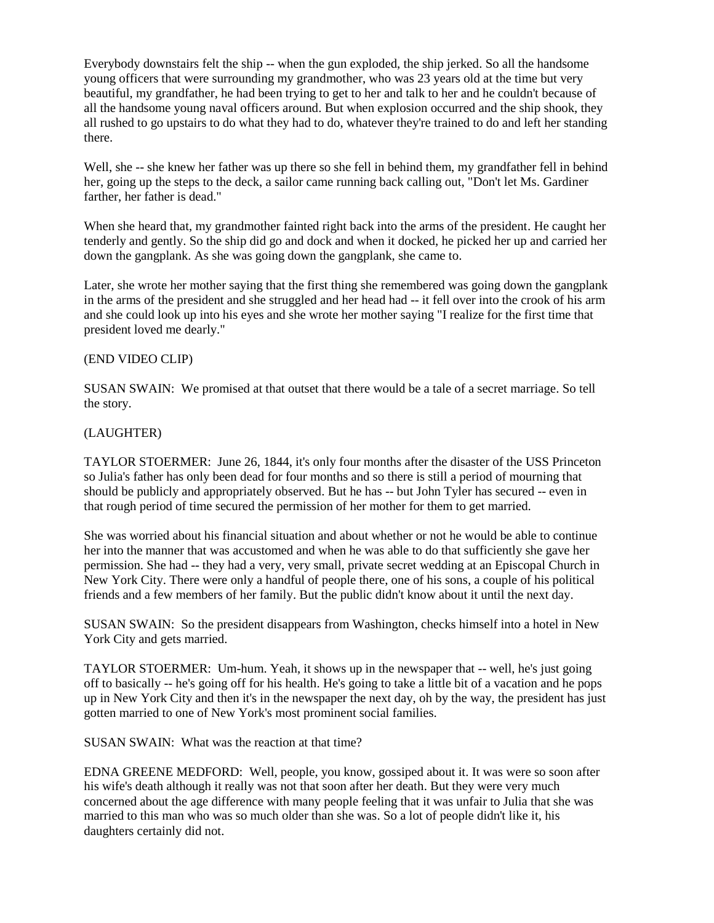Everybody downstairs felt the ship -- when the gun exploded, the ship jerked. So all the handsome young officers that were surrounding my grandmother, who was 23 years old at the time but very beautiful, my grandfather, he had been trying to get to her and talk to her and he couldn't because of all the handsome young naval officers around. But when explosion occurred and the ship shook, they all rushed to go upstairs to do what they had to do, whatever they're trained to do and left her standing there.

Well, she -- she knew her father was up there so she fell in behind them, my grandfather fell in behind her, going up the steps to the deck, a sailor came running back calling out, "Don't let Ms. Gardiner farther, her father is dead."

When she heard that, my grandmother fainted right back into the arms of the president. He caught her tenderly and gently. So the ship did go and dock and when it docked, he picked her up and carried her down the gangplank. As she was going down the gangplank, she came to.

Later, she wrote her mother saying that the first thing she remembered was going down the gangplank in the arms of the president and she struggled and her head had -- it fell over into the crook of his arm and she could look up into his eyes and she wrote her mother saying "I realize for the first time that president loved me dearly."

#### (END VIDEO CLIP)

SUSAN SWAIN: We promised at that outset that there would be a tale of a secret marriage. So tell the story.

### (LAUGHTER)

TAYLOR STOERMER: June 26, 1844, it's only four months after the disaster of the USS Princeton so Julia's father has only been dead for four months and so there is still a period of mourning that should be publicly and appropriately observed. But he has -- but John Tyler has secured -- even in that rough period of time secured the permission of her mother for them to get married.

She was worried about his financial situation and about whether or not he would be able to continue her into the manner that was accustomed and when he was able to do that sufficiently she gave her permission. She had -- they had a very, very small, private secret wedding at an Episcopal Church in New York City. There were only a handful of people there, one of his sons, a couple of his political friends and a few members of her family. But the public didn't know about it until the next day.

SUSAN SWAIN: So the president disappears from Washington, checks himself into a hotel in New York City and gets married.

TAYLOR STOERMER: Um-hum. Yeah, it shows up in the newspaper that -- well, he's just going off to basically -- he's going off for his health. He's going to take a little bit of a vacation and he pops up in New York City and then it's in the newspaper the next day, oh by the way, the president has just gotten married to one of New York's most prominent social families.

SUSAN SWAIN: What was the reaction at that time?

EDNA GREENE MEDFORD: Well, people, you know, gossiped about it. It was were so soon after his wife's death although it really was not that soon after her death. But they were very much concerned about the age difference with many people feeling that it was unfair to Julia that she was married to this man who was so much older than she was. So a lot of people didn't like it, his daughters certainly did not.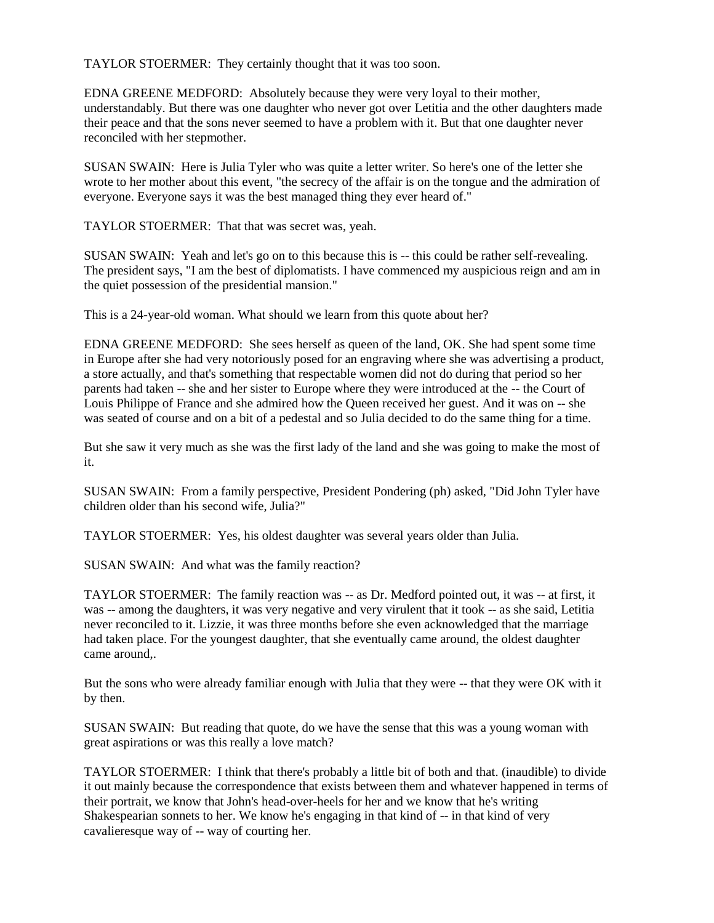TAYLOR STOERMER: They certainly thought that it was too soon.

EDNA GREENE MEDFORD: Absolutely because they were very loyal to their mother, understandably. But there was one daughter who never got over Letitia and the other daughters made their peace and that the sons never seemed to have a problem with it. But that one daughter never reconciled with her stepmother.

SUSAN SWAIN: Here is Julia Tyler who was quite a letter writer. So here's one of the letter she wrote to her mother about this event, "the secrecy of the affair is on the tongue and the admiration of everyone. Everyone says it was the best managed thing they ever heard of."

TAYLOR STOERMER: That that was secret was, yeah.

SUSAN SWAIN: Yeah and let's go on to this because this is -- this could be rather self-revealing. The president says, "I am the best of diplomatists. I have commenced my auspicious reign and am in the quiet possession of the presidential mansion."

This is a 24-year-old woman. What should we learn from this quote about her?

EDNA GREENE MEDFORD: She sees herself as queen of the land, OK. She had spent some time in Europe after she had very notoriously posed for an engraving where she was advertising a product, a store actually, and that's something that respectable women did not do during that period so her parents had taken -- she and her sister to Europe where they were introduced at the -- the Court of Louis Philippe of France and she admired how the Queen received her guest. And it was on -- she was seated of course and on a bit of a pedestal and so Julia decided to do the same thing for a time.

But she saw it very much as she was the first lady of the land and she was going to make the most of it.

SUSAN SWAIN: From a family perspective, President Pondering (ph) asked, "Did John Tyler have children older than his second wife, Julia?"

TAYLOR STOERMER: Yes, his oldest daughter was several years older than Julia.

SUSAN SWAIN: And what was the family reaction?

TAYLOR STOERMER: The family reaction was -- as Dr. Medford pointed out, it was -- at first, it was -- among the daughters, it was very negative and very virulent that it took -- as she said, Letitia never reconciled to it. Lizzie, it was three months before she even acknowledged that the marriage had taken place. For the youngest daughter, that she eventually came around, the oldest daughter came around,.

But the sons who were already familiar enough with Julia that they were -- that they were OK with it by then.

SUSAN SWAIN: But reading that quote, do we have the sense that this was a young woman with great aspirations or was this really a love match?

TAYLOR STOERMER: I think that there's probably a little bit of both and that. (inaudible) to divide it out mainly because the correspondence that exists between them and whatever happened in terms of their portrait, we know that John's head-over-heels for her and we know that he's writing Shakespearian sonnets to her. We know he's engaging in that kind of -- in that kind of very cavalieresque way of -- way of courting her.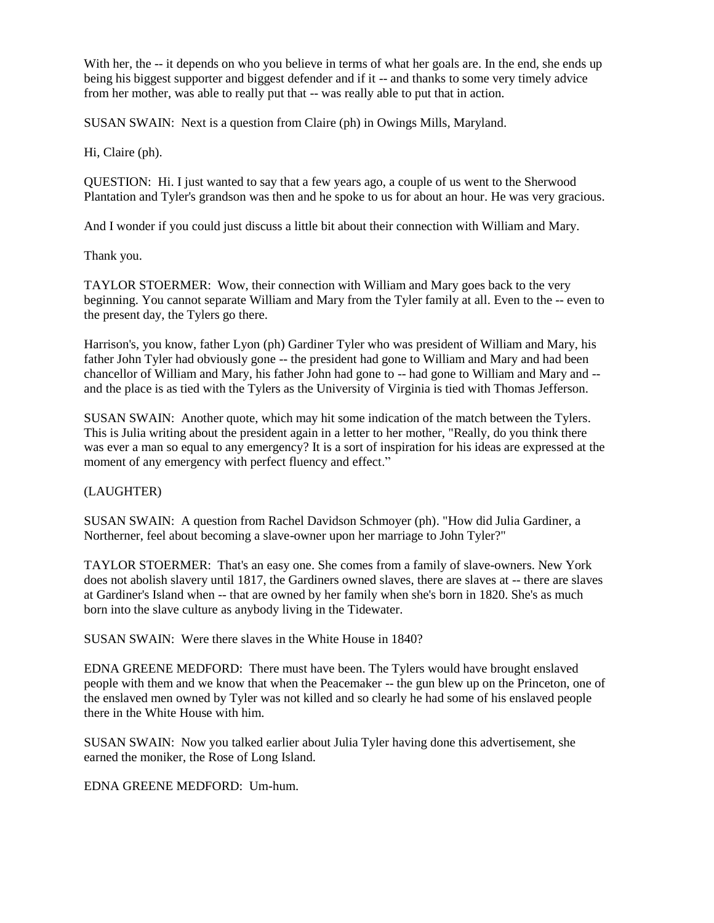With her, the -- it depends on who you believe in terms of what her goals are. In the end, she ends up being his biggest supporter and biggest defender and if it -- and thanks to some very timely advice from her mother, was able to really put that -- was really able to put that in action.

SUSAN SWAIN: Next is a question from Claire (ph) in Owings Mills, Maryland.

Hi, Claire (ph).

QUESTION: Hi. I just wanted to say that a few years ago, a couple of us went to the Sherwood Plantation and Tyler's grandson was then and he spoke to us for about an hour. He was very gracious.

And I wonder if you could just discuss a little bit about their connection with William and Mary.

Thank you.

TAYLOR STOERMER: Wow, their connection with William and Mary goes back to the very beginning. You cannot separate William and Mary from the Tyler family at all. Even to the -- even to the present day, the Tylers go there.

Harrison's, you know, father Lyon (ph) Gardiner Tyler who was president of William and Mary, his father John Tyler had obviously gone -- the president had gone to William and Mary and had been chancellor of William and Mary, his father John had gone to -- had gone to William and Mary and - and the place is as tied with the Tylers as the University of Virginia is tied with Thomas Jefferson.

SUSAN SWAIN: Another quote, which may hit some indication of the match between the Tylers. This is Julia writing about the president again in a letter to her mother, "Really, do you think there was ever a man so equal to any emergency? It is a sort of inspiration for his ideas are expressed at the moment of any emergency with perfect fluency and effect."

### (LAUGHTER)

SUSAN SWAIN: A question from Rachel Davidson Schmoyer (ph). "How did Julia Gardiner, a Northerner, feel about becoming a slave-owner upon her marriage to John Tyler?"

TAYLOR STOERMER: That's an easy one. She comes from a family of slave-owners. New York does not abolish slavery until 1817, the Gardiners owned slaves, there are slaves at -- there are slaves at Gardiner's Island when -- that are owned by her family when she's born in 1820. She's as much born into the slave culture as anybody living in the Tidewater.

SUSAN SWAIN: Were there slaves in the White House in 1840?

EDNA GREENE MEDFORD: There must have been. The Tylers would have brought enslaved people with them and we know that when the Peacemaker -- the gun blew up on the Princeton, one of the enslaved men owned by Tyler was not killed and so clearly he had some of his enslaved people there in the White House with him.

SUSAN SWAIN: Now you talked earlier about Julia Tyler having done this advertisement, she earned the moniker, the Rose of Long Island.

EDNA GREENE MEDFORD: Um-hum.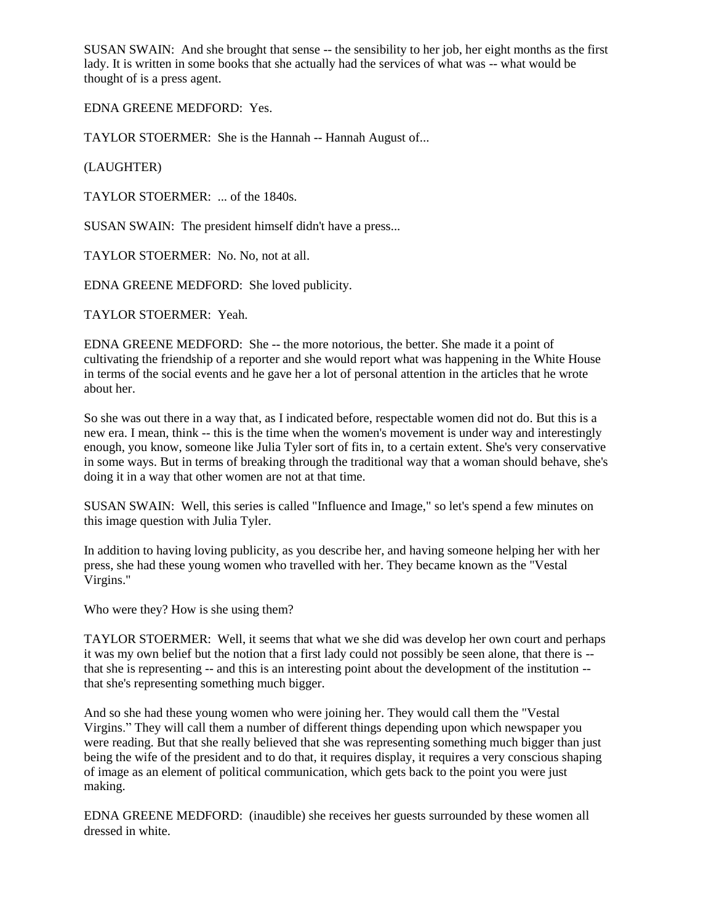SUSAN SWAIN: And she brought that sense -- the sensibility to her job, her eight months as the first lady. It is written in some books that she actually had the services of what was -- what would be thought of is a press agent.

EDNA GREENE MEDFORD: Yes.

TAYLOR STOERMER: She is the Hannah -- Hannah August of...

(LAUGHTER)

TAYLOR STOERMER: ... of the 1840s.

SUSAN SWAIN: The president himself didn't have a press...

TAYLOR STOERMER: No. No, not at all.

EDNA GREENE MEDFORD: She loved publicity.

TAYLOR STOERMER: Yeah.

EDNA GREENE MEDFORD: She -- the more notorious, the better. She made it a point of cultivating the friendship of a reporter and she would report what was happening in the White House in terms of the social events and he gave her a lot of personal attention in the articles that he wrote about her.

So she was out there in a way that, as I indicated before, respectable women did not do. But this is a new era. I mean, think -- this is the time when the women's movement is under way and interestingly enough, you know, someone like Julia Tyler sort of fits in, to a certain extent. She's very conservative in some ways. But in terms of breaking through the traditional way that a woman should behave, she's doing it in a way that other women are not at that time.

SUSAN SWAIN: Well, this series is called "Influence and Image," so let's spend a few minutes on this image question with Julia Tyler.

In addition to having loving publicity, as you describe her, and having someone helping her with her press, she had these young women who travelled with her. They became known as the "Vestal Virgins."

Who were they? How is she using them?

TAYLOR STOERMER: Well, it seems that what we she did was develop her own court and perhaps it was my own belief but the notion that a first lady could not possibly be seen alone, that there is - that she is representing -- and this is an interesting point about the development of the institution - that she's representing something much bigger.

And so she had these young women who were joining her. They would call them the "Vestal Virgins." They will call them a number of different things depending upon which newspaper you were reading. But that she really believed that she was representing something much bigger than just being the wife of the president and to do that, it requires display, it requires a very conscious shaping of image as an element of political communication, which gets back to the point you were just making.

EDNA GREENE MEDFORD: (inaudible) she receives her guests surrounded by these women all dressed in white.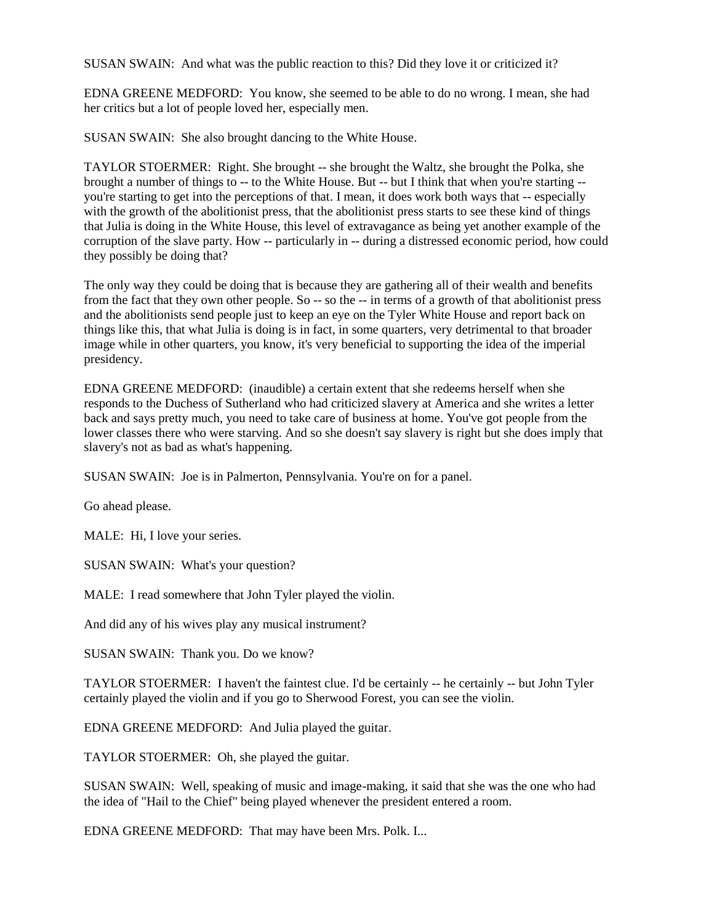SUSAN SWAIN: And what was the public reaction to this? Did they love it or criticized it?

EDNA GREENE MEDFORD: You know, she seemed to be able to do no wrong. I mean, she had her critics but a lot of people loved her, especially men.

SUSAN SWAIN: She also brought dancing to the White House.

TAYLOR STOERMER: Right. She brought -- she brought the Waltz, she brought the Polka, she brought a number of things to -- to the White House. But -- but I think that when you're starting - you're starting to get into the perceptions of that. I mean, it does work both ways that -- especially with the growth of the abolitionist press, that the abolitionist press starts to see these kind of things that Julia is doing in the White House, this level of extravagance as being yet another example of the corruption of the slave party. How -- particularly in -- during a distressed economic period, how could they possibly be doing that?

The only way they could be doing that is because they are gathering all of their wealth and benefits from the fact that they own other people. So -- so the -- in terms of a growth of that abolitionist press and the abolitionists send people just to keep an eye on the Tyler White House and report back on things like this, that what Julia is doing is in fact, in some quarters, very detrimental to that broader image while in other quarters, you know, it's very beneficial to supporting the idea of the imperial presidency.

EDNA GREENE MEDFORD: (inaudible) a certain extent that she redeems herself when she responds to the Duchess of Sutherland who had criticized slavery at America and she writes a letter back and says pretty much, you need to take care of business at home. You've got people from the lower classes there who were starving. And so she doesn't say slavery is right but she does imply that slavery's not as bad as what's happening.

SUSAN SWAIN: Joe is in Palmerton, Pennsylvania. You're on for a panel.

Go ahead please.

MALE: Hi, I love your series.

SUSAN SWAIN: What's your question?

MALE: I read somewhere that John Tyler played the violin.

And did any of his wives play any musical instrument?

SUSAN SWAIN: Thank you. Do we know?

TAYLOR STOERMER: I haven't the faintest clue. I'd be certainly -- he certainly -- but John Tyler certainly played the violin and if you go to Sherwood Forest, you can see the violin.

EDNA GREENE MEDFORD: And Julia played the guitar.

TAYLOR STOERMER: Oh, she played the guitar.

SUSAN SWAIN: Well, speaking of music and image-making, it said that she was the one who had the idea of "Hail to the Chief" being played whenever the president entered a room.

EDNA GREENE MEDFORD: That may have been Mrs. Polk. I...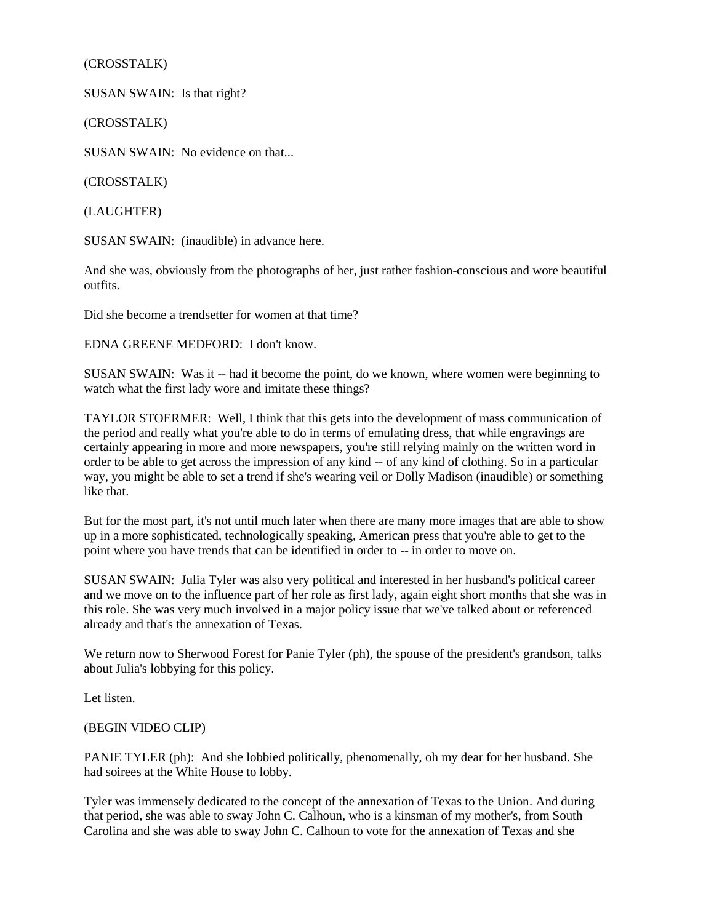(CROSSTALK)

SUSAN SWAIN: Is that right?

(CROSSTALK)

SUSAN SWAIN: No evidence on that...

(CROSSTALK)

(LAUGHTER)

SUSAN SWAIN: (inaudible) in advance here.

And she was, obviously from the photographs of her, just rather fashion-conscious and wore beautiful outfits.

Did she become a trendsetter for women at that time?

EDNA GREENE MEDFORD: I don't know.

SUSAN SWAIN: Was it -- had it become the point, do we known, where women were beginning to watch what the first lady wore and imitate these things?

TAYLOR STOERMER: Well, I think that this gets into the development of mass communication of the period and really what you're able to do in terms of emulating dress, that while engravings are certainly appearing in more and more newspapers, you're still relying mainly on the written word in order to be able to get across the impression of any kind -- of any kind of clothing. So in a particular way, you might be able to set a trend if she's wearing veil or Dolly Madison (inaudible) or something like that.

But for the most part, it's not until much later when there are many more images that are able to show up in a more sophisticated, technologically speaking, American press that you're able to get to the point where you have trends that can be identified in order to -- in order to move on.

SUSAN SWAIN: Julia Tyler was also very political and interested in her husband's political career and we move on to the influence part of her role as first lady, again eight short months that she was in this role. She was very much involved in a major policy issue that we've talked about or referenced already and that's the annexation of Texas.

We return now to Sherwood Forest for Panie Tyler (ph), the spouse of the president's grandson, talks about Julia's lobbying for this policy.

Let listen.

### (BEGIN VIDEO CLIP)

PANIE TYLER (ph): And she lobbied politically, phenomenally, oh my dear for her husband. She had soirees at the White House to lobby.

Tyler was immensely dedicated to the concept of the annexation of Texas to the Union. And during that period, she was able to sway John C. Calhoun, who is a kinsman of my mother's, from South Carolina and she was able to sway John C. Calhoun to vote for the annexation of Texas and she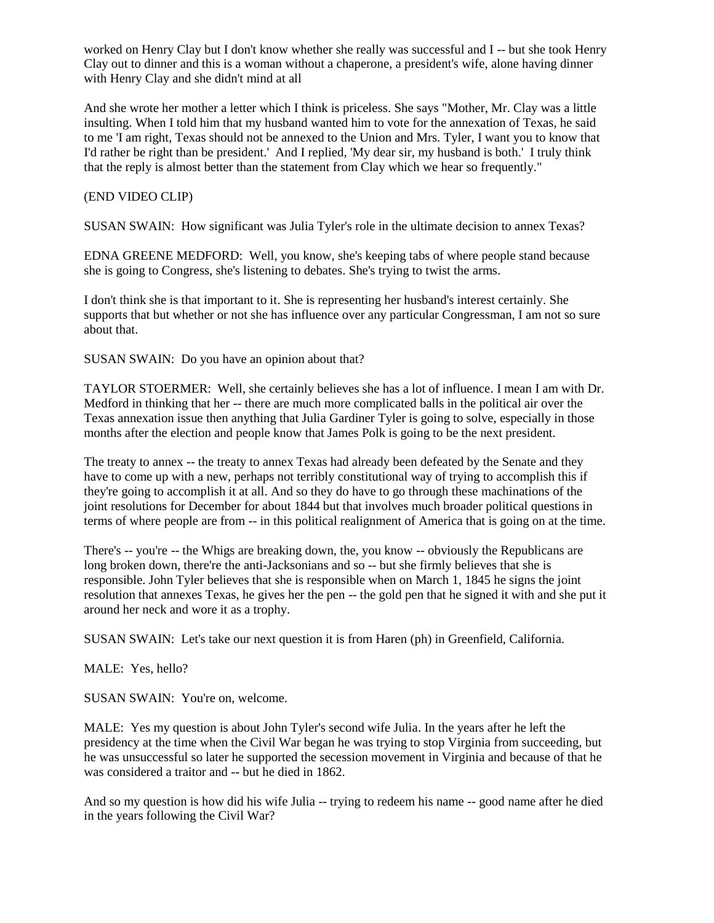worked on Henry Clay but I don't know whether she really was successful and I -- but she took Henry Clay out to dinner and this is a woman without a chaperone, a president's wife, alone having dinner with Henry Clay and she didn't mind at all

And she wrote her mother a letter which I think is priceless. She says "Mother, Mr. Clay was a little insulting. When I told him that my husband wanted him to vote for the annexation of Texas, he said to me 'I am right, Texas should not be annexed to the Union and Mrs. Tyler, I want you to know that I'd rather be right than be president.' And I replied, 'My dear sir, my husband is both.' I truly think that the reply is almost better than the statement from Clay which we hear so frequently."

(END VIDEO CLIP)

SUSAN SWAIN: How significant was Julia Tyler's role in the ultimate decision to annex Texas?

EDNA GREENE MEDFORD: Well, you know, she's keeping tabs of where people stand because she is going to Congress, she's listening to debates. She's trying to twist the arms.

I don't think she is that important to it. She is representing her husband's interest certainly. She supports that but whether or not she has influence over any particular Congressman, I am not so sure about that.

SUSAN SWAIN: Do you have an opinion about that?

TAYLOR STOERMER: Well, she certainly believes she has a lot of influence. I mean I am with Dr. Medford in thinking that her -- there are much more complicated balls in the political air over the Texas annexation issue then anything that Julia Gardiner Tyler is going to solve, especially in those months after the election and people know that James Polk is going to be the next president.

The treaty to annex -- the treaty to annex Texas had already been defeated by the Senate and they have to come up with a new, perhaps not terribly constitutional way of trying to accomplish this if they're going to accomplish it at all. And so they do have to go through these machinations of the joint resolutions for December for about 1844 but that involves much broader political questions in terms of where people are from -- in this political realignment of America that is going on at the time.

There's -- you're -- the Whigs are breaking down, the, you know -- obviously the Republicans are long broken down, there're the anti-Jacksonians and so -- but she firmly believes that she is responsible. John Tyler believes that she is responsible when on March 1, 1845 he signs the joint resolution that annexes Texas, he gives her the pen -- the gold pen that he signed it with and she put it around her neck and wore it as a trophy.

SUSAN SWAIN: Let's take our next question it is from Haren (ph) in Greenfield, California.

MALE: Yes, hello?

SUSAN SWAIN: You're on, welcome.

MALE: Yes my question is about John Tyler's second wife Julia. In the years after he left the presidency at the time when the Civil War began he was trying to stop Virginia from succeeding, but he was unsuccessful so later he supported the secession movement in Virginia and because of that he was considered a traitor and -- but he died in 1862.

And so my question is how did his wife Julia -- trying to redeem his name -- good name after he died in the years following the Civil War?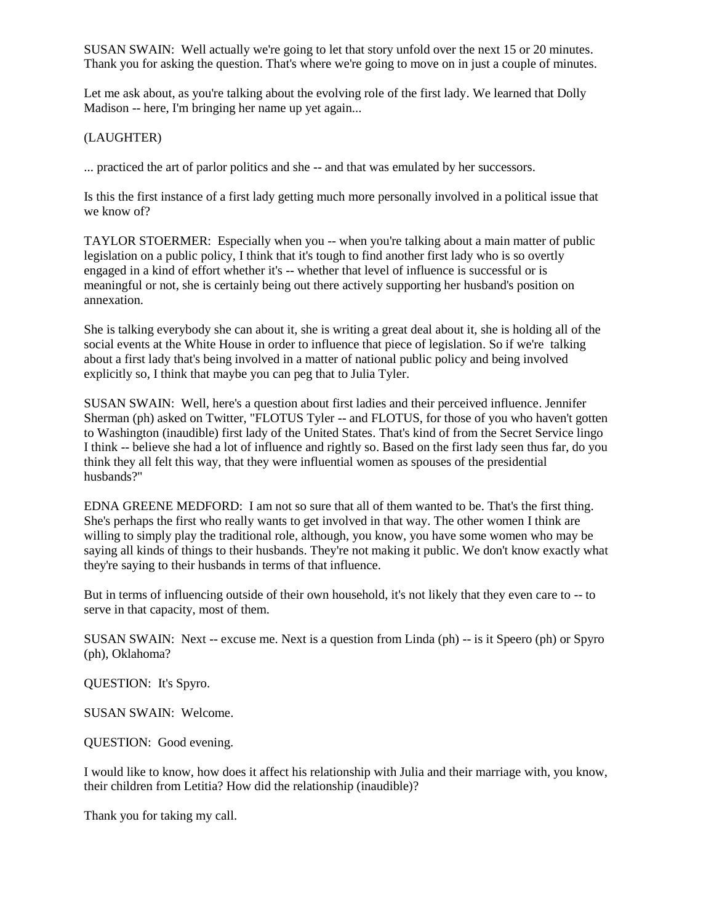SUSAN SWAIN: Well actually we're going to let that story unfold over the next 15 or 20 minutes. Thank you for asking the question. That's where we're going to move on in just a couple of minutes.

Let me ask about, as you're talking about the evolving role of the first lady. We learned that Dolly Madison -- here, I'm bringing her name up yet again...

### (LAUGHTER)

... practiced the art of parlor politics and she -- and that was emulated by her successors.

Is this the first instance of a first lady getting much more personally involved in a political issue that we know of?

TAYLOR STOERMER: Especially when you -- when you're talking about a main matter of public legislation on a public policy, I think that it's tough to find another first lady who is so overtly engaged in a kind of effort whether it's -- whether that level of influence is successful or is meaningful or not, she is certainly being out there actively supporting her husband's position on annexation.

She is talking everybody she can about it, she is writing a great deal about it, she is holding all of the social events at the White House in order to influence that piece of legislation. So if we're talking about a first lady that's being involved in a matter of national public policy and being involved explicitly so, I think that maybe you can peg that to Julia Tyler.

SUSAN SWAIN: Well, here's a question about first ladies and their perceived influence. Jennifer Sherman (ph) asked on Twitter, "FLOTUS Tyler -- and FLOTUS, for those of you who haven't gotten to Washington (inaudible) first lady of the United States. That's kind of from the Secret Service lingo I think -- believe she had a lot of influence and rightly so. Based on the first lady seen thus far, do you think they all felt this way, that they were influential women as spouses of the presidential husbands?"

EDNA GREENE MEDFORD: I am not so sure that all of them wanted to be. That's the first thing. She's perhaps the first who really wants to get involved in that way. The other women I think are willing to simply play the traditional role, although, you know, you have some women who may be saying all kinds of things to their husbands. They're not making it public. We don't know exactly what they're saying to their husbands in terms of that influence.

But in terms of influencing outside of their own household, it's not likely that they even care to -- to serve in that capacity, most of them.

SUSAN SWAIN: Next -- excuse me. Next is a question from Linda (ph) -- is it Speero (ph) or Spyro (ph), Oklahoma?

QUESTION: It's Spyro.

SUSAN SWAIN: Welcome.

QUESTION: Good evening.

I would like to know, how does it affect his relationship with Julia and their marriage with, you know, their children from Letitia? How did the relationship (inaudible)?

Thank you for taking my call.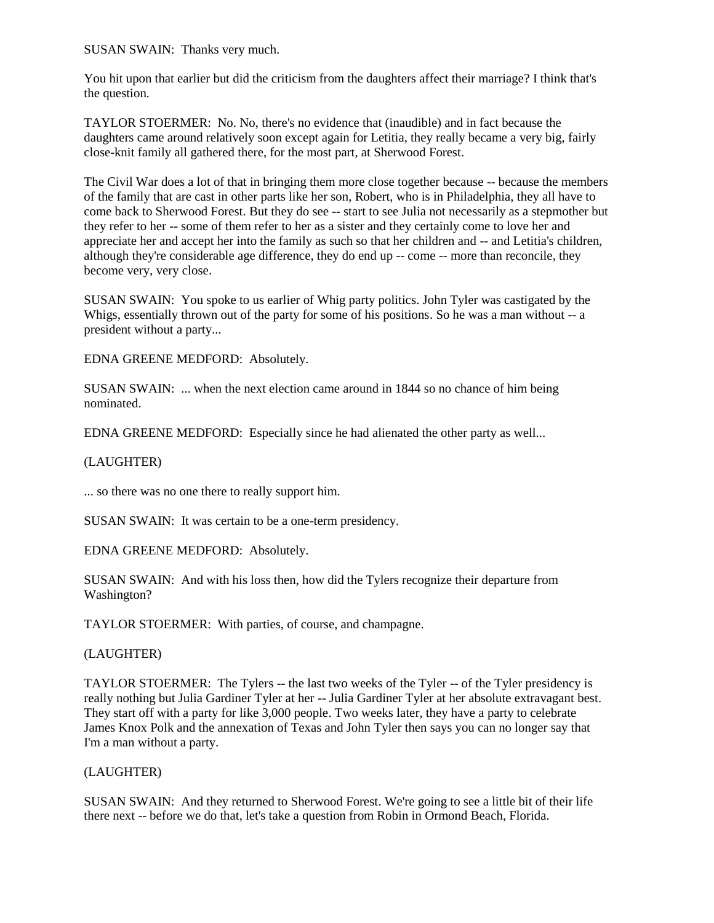SUSAN SWAIN: Thanks very much.

You hit upon that earlier but did the criticism from the daughters affect their marriage? I think that's the question.

TAYLOR STOERMER: No. No, there's no evidence that (inaudible) and in fact because the daughters came around relatively soon except again for Letitia, they really became a very big, fairly close-knit family all gathered there, for the most part, at Sherwood Forest.

The Civil War does a lot of that in bringing them more close together because -- because the members of the family that are cast in other parts like her son, Robert, who is in Philadelphia, they all have to come back to Sherwood Forest. But they do see -- start to see Julia not necessarily as a stepmother but they refer to her -- some of them refer to her as a sister and they certainly come to love her and appreciate her and accept her into the family as such so that her children and -- and Letitia's children, although they're considerable age difference, they do end up -- come -- more than reconcile, they become very, very close.

SUSAN SWAIN: You spoke to us earlier of Whig party politics. John Tyler was castigated by the Whigs, essentially thrown out of the party for some of his positions. So he was a man without -- a president without a party...

EDNA GREENE MEDFORD: Absolutely.

SUSAN SWAIN: ... when the next election came around in 1844 so no chance of him being nominated.

EDNA GREENE MEDFORD: Especially since he had alienated the other party as well...

#### (LAUGHTER)

... so there was no one there to really support him.

SUSAN SWAIN: It was certain to be a one-term presidency.

EDNA GREENE MEDFORD: Absolutely.

SUSAN SWAIN: And with his loss then, how did the Tylers recognize their departure from Washington?

TAYLOR STOERMER: With parties, of course, and champagne.

(LAUGHTER)

TAYLOR STOERMER: The Tylers -- the last two weeks of the Tyler -- of the Tyler presidency is really nothing but Julia Gardiner Tyler at her -- Julia Gardiner Tyler at her absolute extravagant best. They start off with a party for like 3,000 people. Two weeks later, they have a party to celebrate James Knox Polk and the annexation of Texas and John Tyler then says you can no longer say that I'm a man without a party.

#### (LAUGHTER)

SUSAN SWAIN: And they returned to Sherwood Forest. We're going to see a little bit of their life there next -- before we do that, let's take a question from Robin in Ormond Beach, Florida.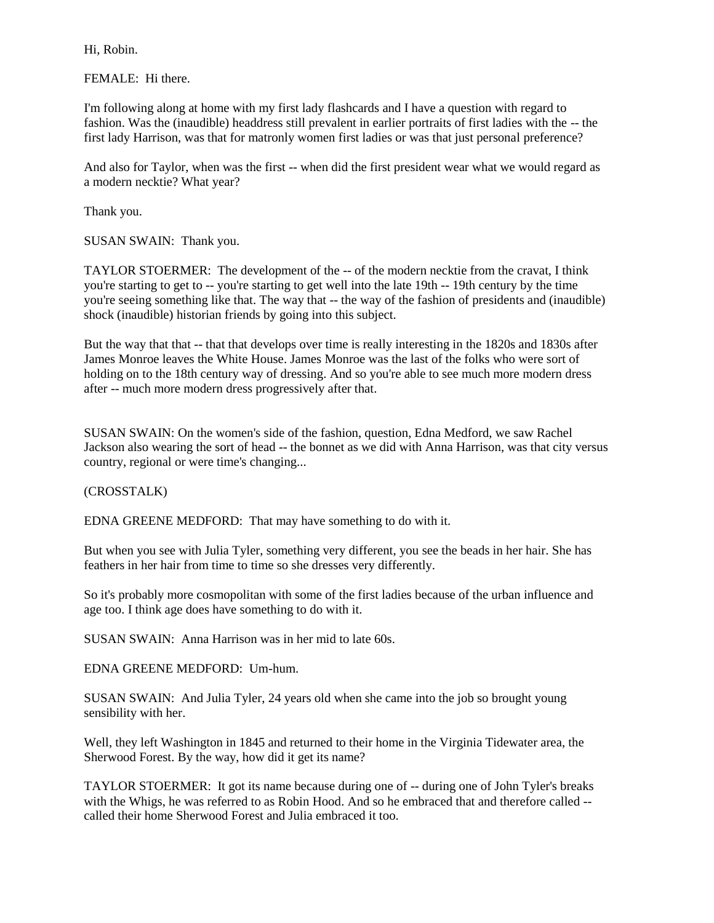Hi, Robin.

FEMALE: Hi there.

I'm following along at home with my first lady flashcards and I have a question with regard to fashion. Was the (inaudible) headdress still prevalent in earlier portraits of first ladies with the -- the first lady Harrison, was that for matronly women first ladies or was that just personal preference?

And also for Taylor, when was the first -- when did the first president wear what we would regard as a modern necktie? What year?

Thank you.

SUSAN SWAIN: Thank you.

TAYLOR STOERMER: The development of the -- of the modern necktie from the cravat, I think you're starting to get to -- you're starting to get well into the late 19th -- 19th century by the time you're seeing something like that. The way that -- the way of the fashion of presidents and (inaudible) shock (inaudible) historian friends by going into this subject.

But the way that that -- that that develops over time is really interesting in the 1820s and 1830s after James Monroe leaves the White House. James Monroe was the last of the folks who were sort of holding on to the 18th century way of dressing. And so you're able to see much more modern dress after -- much more modern dress progressively after that.

SUSAN SWAIN: On the women's side of the fashion, question, Edna Medford, we saw Rachel Jackson also wearing the sort of head -- the bonnet as we did with Anna Harrison, was that city versus country, regional or were time's changing...

### (CROSSTALK)

EDNA GREENE MEDFORD: That may have something to do with it.

But when you see with Julia Tyler, something very different, you see the beads in her hair. She has feathers in her hair from time to time so she dresses very differently.

So it's probably more cosmopolitan with some of the first ladies because of the urban influence and age too. I think age does have something to do with it.

SUSAN SWAIN: Anna Harrison was in her mid to late 60s.

EDNA GREENE MEDFORD: Um-hum.

SUSAN SWAIN: And Julia Tyler, 24 years old when she came into the job so brought young sensibility with her.

Well, they left Washington in 1845 and returned to their home in the Virginia Tidewater area, the Sherwood Forest. By the way, how did it get its name?

TAYLOR STOERMER: It got its name because during one of -- during one of John Tyler's breaks with the Whigs, he was referred to as Robin Hood. And so he embraced that and therefore called - called their home Sherwood Forest and Julia embraced it too.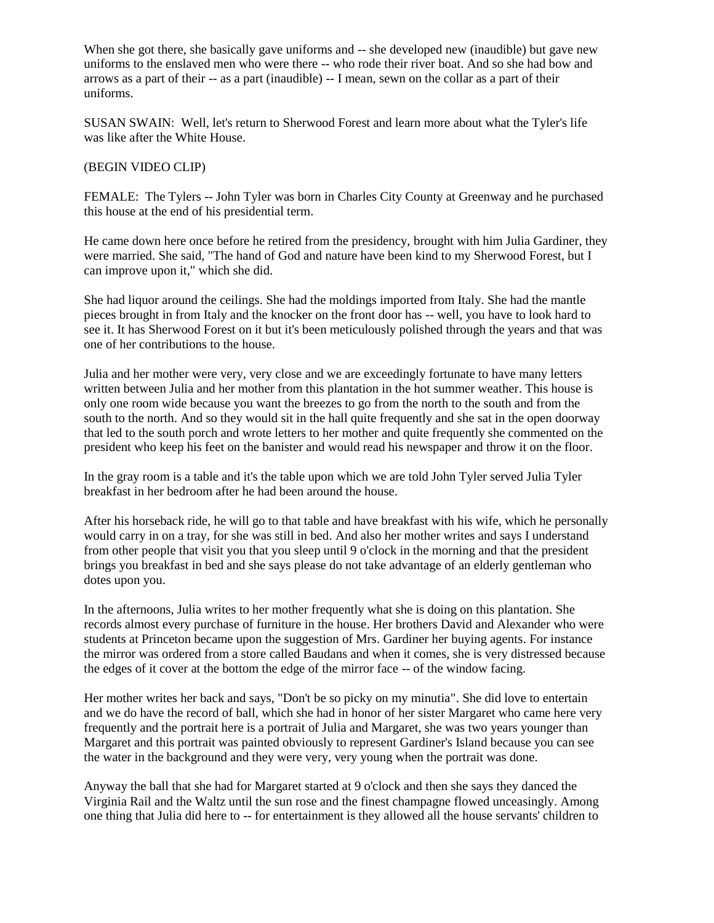When she got there, she basically gave uniforms and -- she developed new (inaudible) but gave new uniforms to the enslaved men who were there -- who rode their river boat. And so she had bow and arrows as a part of their -- as a part (inaudible) -- I mean, sewn on the collar as a part of their uniforms.

SUSAN SWAIN: Well, let's return to Sherwood Forest and learn more about what the Tyler's life was like after the White House.

### (BEGIN VIDEO CLIP)

FEMALE: The Tylers -- John Tyler was born in Charles City County at Greenway and he purchased this house at the end of his presidential term.

He came down here once before he retired from the presidency, brought with him Julia Gardiner, they were married. She said, "The hand of God and nature have been kind to my Sherwood Forest, but I can improve upon it," which she did.

She had liquor around the ceilings. She had the moldings imported from Italy. She had the mantle pieces brought in from Italy and the knocker on the front door has -- well, you have to look hard to see it. It has Sherwood Forest on it but it's been meticulously polished through the years and that was one of her contributions to the house.

Julia and her mother were very, very close and we are exceedingly fortunate to have many letters written between Julia and her mother from this plantation in the hot summer weather. This house is only one room wide because you want the breezes to go from the north to the south and from the south to the north. And so they would sit in the hall quite frequently and she sat in the open doorway that led to the south porch and wrote letters to her mother and quite frequently she commented on the president who keep his feet on the banister and would read his newspaper and throw it on the floor.

In the gray room is a table and it's the table upon which we are told John Tyler served Julia Tyler breakfast in her bedroom after he had been around the house.

After his horseback ride, he will go to that table and have breakfast with his wife, which he personally would carry in on a tray, for she was still in bed. And also her mother writes and says I understand from other people that visit you that you sleep until 9 o'clock in the morning and that the president brings you breakfast in bed and she says please do not take advantage of an elderly gentleman who dotes upon you.

In the afternoons, Julia writes to her mother frequently what she is doing on this plantation. She records almost every purchase of furniture in the house. Her brothers David and Alexander who were students at Princeton became upon the suggestion of Mrs. Gardiner her buying agents. For instance the mirror was ordered from a store called Baudans and when it comes, she is very distressed because the edges of it cover at the bottom the edge of the mirror face -- of the window facing.

Her mother writes her back and says, "Don't be so picky on my minutia". She did love to entertain and we do have the record of ball, which she had in honor of her sister Margaret who came here very frequently and the portrait here is a portrait of Julia and Margaret, she was two years younger than Margaret and this portrait was painted obviously to represent Gardiner's Island because you can see the water in the background and they were very, very young when the portrait was done.

Anyway the ball that she had for Margaret started at 9 o'clock and then she says they danced the Virginia Rail and the Waltz until the sun rose and the finest champagne flowed unceasingly. Among one thing that Julia did here to -- for entertainment is they allowed all the house servants' children to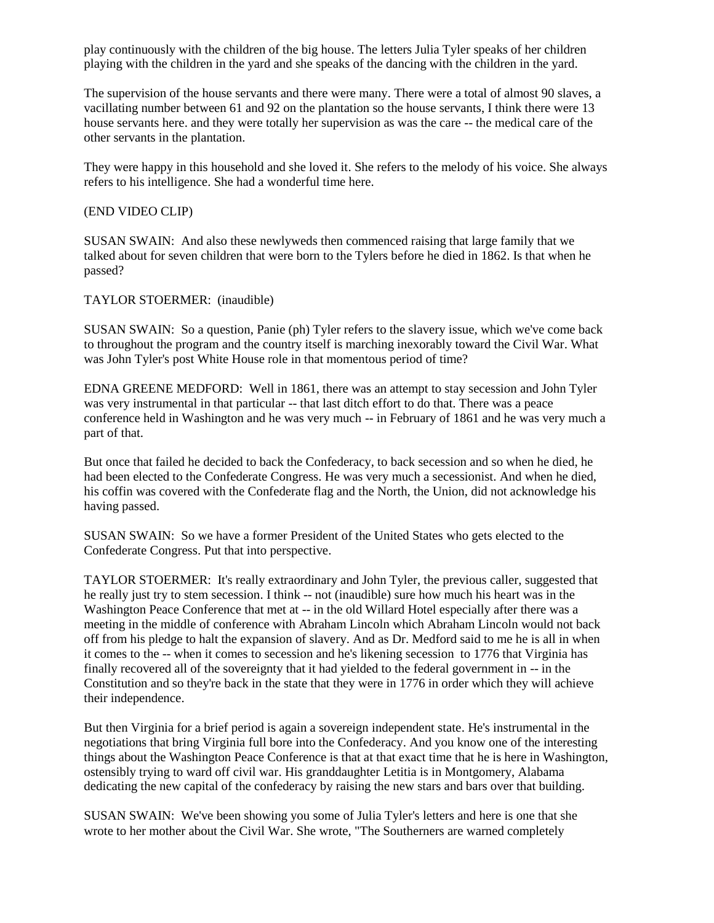play continuously with the children of the big house. The letters Julia Tyler speaks of her children playing with the children in the yard and she speaks of the dancing with the children in the yard.

The supervision of the house servants and there were many. There were a total of almost 90 slaves, a vacillating number between 61 and 92 on the plantation so the house servants, I think there were 13 house servants here. and they were totally her supervision as was the care -- the medical care of the other servants in the plantation.

They were happy in this household and she loved it. She refers to the melody of his voice. She always refers to his intelligence. She had a wonderful time here.

#### (END VIDEO CLIP)

SUSAN SWAIN: And also these newlyweds then commenced raising that large family that we talked about for seven children that were born to the Tylers before he died in 1862. Is that when he passed?

TAYLOR STOERMER: (inaudible)

SUSAN SWAIN: So a question, Panie (ph) Tyler refers to the slavery issue, which we've come back to throughout the program and the country itself is marching inexorably toward the Civil War. What was John Tyler's post White House role in that momentous period of time?

EDNA GREENE MEDFORD: Well in 1861, there was an attempt to stay secession and John Tyler was very instrumental in that particular -- that last ditch effort to do that. There was a peace conference held in Washington and he was very much -- in February of 1861 and he was very much a part of that.

But once that failed he decided to back the Confederacy, to back secession and so when he died, he had been elected to the Confederate Congress. He was very much a secessionist. And when he died, his coffin was covered with the Confederate flag and the North, the Union, did not acknowledge his having passed.

SUSAN SWAIN: So we have a former President of the United States who gets elected to the Confederate Congress. Put that into perspective.

TAYLOR STOERMER: It's really extraordinary and John Tyler, the previous caller, suggested that he really just try to stem secession. I think -- not (inaudible) sure how much his heart was in the Washington Peace Conference that met at -- in the old Willard Hotel especially after there was a meeting in the middle of conference with Abraham Lincoln which Abraham Lincoln would not back off from his pledge to halt the expansion of slavery. And as Dr. Medford said to me he is all in when it comes to the -- when it comes to secession and he's likening secession to 1776 that Virginia has finally recovered all of the sovereignty that it had yielded to the federal government in -- in the Constitution and so they're back in the state that they were in 1776 in order which they will achieve their independence.

But then Virginia for a brief period is again a sovereign independent state. He's instrumental in the negotiations that bring Virginia full bore into the Confederacy. And you know one of the interesting things about the Washington Peace Conference is that at that exact time that he is here in Washington, ostensibly trying to ward off civil war. His granddaughter Letitia is in Montgomery, Alabama dedicating the new capital of the confederacy by raising the new stars and bars over that building.

SUSAN SWAIN: We've been showing you some of Julia Tyler's letters and here is one that she wrote to her mother about the Civil War. She wrote, "The Southerners are warned completely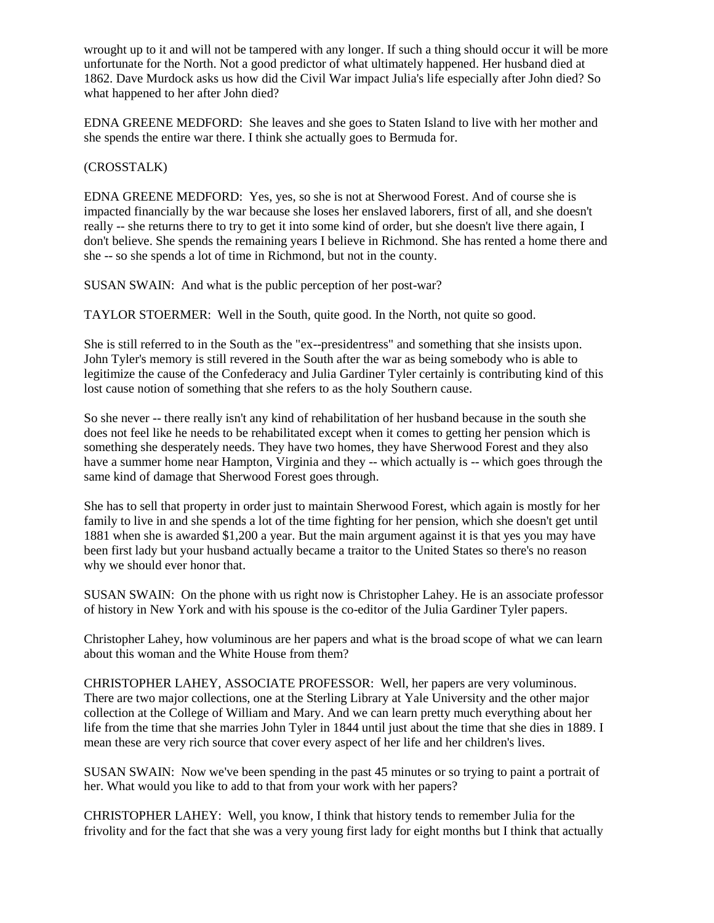wrought up to it and will not be tampered with any longer. If such a thing should occur it will be more unfortunate for the North. Not a good predictor of what ultimately happened. Her husband died at 1862. Dave Murdock asks us how did the Civil War impact Julia's life especially after John died? So what happened to her after John died?

EDNA GREENE MEDFORD: She leaves and she goes to Staten Island to live with her mother and she spends the entire war there. I think she actually goes to Bermuda for.

### (CROSSTALK)

EDNA GREENE MEDFORD: Yes, yes, so she is not at Sherwood Forest. And of course she is impacted financially by the war because she loses her enslaved laborers, first of all, and she doesn't really -- she returns there to try to get it into some kind of order, but she doesn't live there again, I don't believe. She spends the remaining years I believe in Richmond. She has rented a home there and she -- so she spends a lot of time in Richmond, but not in the county.

SUSAN SWAIN: And what is the public perception of her post-war?

TAYLOR STOERMER: Well in the South, quite good. In the North, not quite so good.

She is still referred to in the South as the "ex--presidentress" and something that she insists upon. John Tyler's memory is still revered in the South after the war as being somebody who is able to legitimize the cause of the Confederacy and Julia Gardiner Tyler certainly is contributing kind of this lost cause notion of something that she refers to as the holy Southern cause.

So she never -- there really isn't any kind of rehabilitation of her husband because in the south she does not feel like he needs to be rehabilitated except when it comes to getting her pension which is something she desperately needs. They have two homes, they have Sherwood Forest and they also have a summer home near Hampton, Virginia and they -- which actually is -- which goes through the same kind of damage that Sherwood Forest goes through.

She has to sell that property in order just to maintain Sherwood Forest, which again is mostly for her family to live in and she spends a lot of the time fighting for her pension, which she doesn't get until 1881 when she is awarded \$1,200 a year. But the main argument against it is that yes you may have been first lady but your husband actually became a traitor to the United States so there's no reason why we should ever honor that.

SUSAN SWAIN: On the phone with us right now is Christopher Lahey. He is an associate professor of history in New York and with his spouse is the co-editor of the Julia Gardiner Tyler papers.

Christopher Lahey, how voluminous are her papers and what is the broad scope of what we can learn about this woman and the White House from them?

CHRISTOPHER LAHEY, ASSOCIATE PROFESSOR: Well, her papers are very voluminous. There are two major collections, one at the Sterling Library at Yale University and the other major collection at the College of William and Mary. And we can learn pretty much everything about her life from the time that she marries John Tyler in 1844 until just about the time that she dies in 1889. I mean these are very rich source that cover every aspect of her life and her children's lives.

SUSAN SWAIN: Now we've been spending in the past 45 minutes or so trying to paint a portrait of her. What would you like to add to that from your work with her papers?

CHRISTOPHER LAHEY: Well, you know, I think that history tends to remember Julia for the frivolity and for the fact that she was a very young first lady for eight months but I think that actually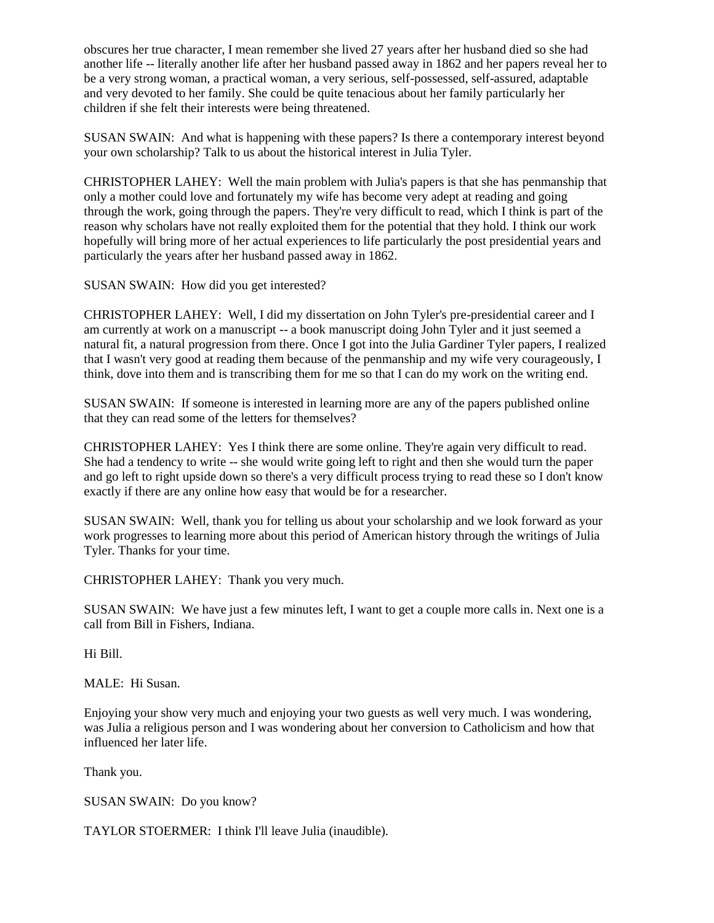obscures her true character, I mean remember she lived 27 years after her husband died so she had another life -- literally another life after her husband passed away in 1862 and her papers reveal her to be a very strong woman, a practical woman, a very serious, self-possessed, self-assured, adaptable and very devoted to her family. She could be quite tenacious about her family particularly her children if she felt their interests were being threatened.

SUSAN SWAIN: And what is happening with these papers? Is there a contemporary interest beyond your own scholarship? Talk to us about the historical interest in Julia Tyler.

CHRISTOPHER LAHEY: Well the main problem with Julia's papers is that she has penmanship that only a mother could love and fortunately my wife has become very adept at reading and going through the work, going through the papers. They're very difficult to read, which I think is part of the reason why scholars have not really exploited them for the potential that they hold. I think our work hopefully will bring more of her actual experiences to life particularly the post presidential years and particularly the years after her husband passed away in 1862.

SUSAN SWAIN: How did you get interested?

CHRISTOPHER LAHEY: Well, I did my dissertation on John Tyler's pre-presidential career and I am currently at work on a manuscript -- a book manuscript doing John Tyler and it just seemed a natural fit, a natural progression from there. Once I got into the Julia Gardiner Tyler papers, I realized that I wasn't very good at reading them because of the penmanship and my wife very courageously, I think, dove into them and is transcribing them for me so that I can do my work on the writing end.

SUSAN SWAIN: If someone is interested in learning more are any of the papers published online that they can read some of the letters for themselves?

CHRISTOPHER LAHEY: Yes I think there are some online. They're again very difficult to read. She had a tendency to write -- she would write going left to right and then she would turn the paper and go left to right upside down so there's a very difficult process trying to read these so I don't know exactly if there are any online how easy that would be for a researcher.

SUSAN SWAIN: Well, thank you for telling us about your scholarship and we look forward as your work progresses to learning more about this period of American history through the writings of Julia Tyler. Thanks for your time.

CHRISTOPHER LAHEY: Thank you very much.

SUSAN SWAIN: We have just a few minutes left, I want to get a couple more calls in. Next one is a call from Bill in Fishers, Indiana.

Hi Bill.

MALE: Hi Susan.

Enjoying your show very much and enjoying your two guests as well very much. I was wondering, was Julia a religious person and I was wondering about her conversion to Catholicism and how that influenced her later life.

Thank you.

SUSAN SWAIN: Do you know?

TAYLOR STOERMER: I think I'll leave Julia (inaudible).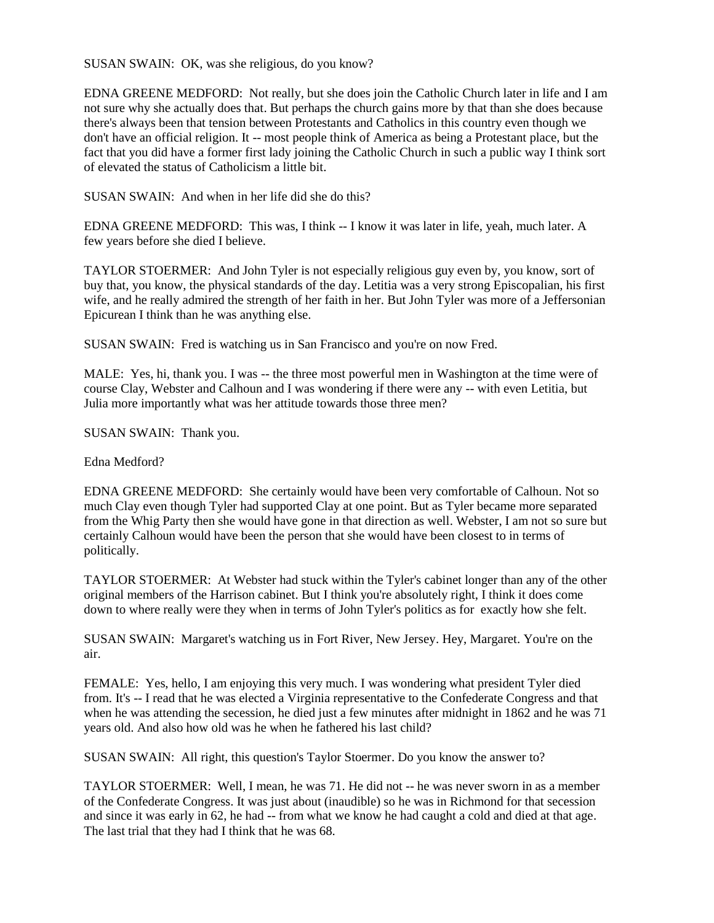SUSAN SWAIN: OK, was she religious, do you know?

EDNA GREENE MEDFORD: Not really, but she does join the Catholic Church later in life and I am not sure why she actually does that. But perhaps the church gains more by that than she does because there's always been that tension between Protestants and Catholics in this country even though we don't have an official religion. It -- most people think of America as being a Protestant place, but the fact that you did have a former first lady joining the Catholic Church in such a public way I think sort of elevated the status of Catholicism a little bit.

SUSAN SWAIN: And when in her life did she do this?

EDNA GREENE MEDFORD: This was, I think -- I know it was later in life, yeah, much later. A few years before she died I believe.

TAYLOR STOERMER: And John Tyler is not especially religious guy even by, you know, sort of buy that, you know, the physical standards of the day. Letitia was a very strong Episcopalian, his first wife, and he really admired the strength of her faith in her. But John Tyler was more of a Jeffersonian Epicurean I think than he was anything else.

SUSAN SWAIN: Fred is watching us in San Francisco and you're on now Fred.

MALE: Yes, hi, thank you. I was -- the three most powerful men in Washington at the time were of course Clay, Webster and Calhoun and I was wondering if there were any -- with even Letitia, but Julia more importantly what was her attitude towards those three men?

SUSAN SWAIN: Thank you.

Edna Medford?

EDNA GREENE MEDFORD: She certainly would have been very comfortable of Calhoun. Not so much Clay even though Tyler had supported Clay at one point. But as Tyler became more separated from the Whig Party then she would have gone in that direction as well. Webster, I am not so sure but certainly Calhoun would have been the person that she would have been closest to in terms of politically.

TAYLOR STOERMER: At Webster had stuck within the Tyler's cabinet longer than any of the other original members of the Harrison cabinet. But I think you're absolutely right, I think it does come down to where really were they when in terms of John Tyler's politics as for exactly how she felt.

SUSAN SWAIN: Margaret's watching us in Fort River, New Jersey. Hey, Margaret. You're on the air.

FEMALE: Yes, hello, I am enjoying this very much. I was wondering what president Tyler died from. It's -- I read that he was elected a Virginia representative to the Confederate Congress and that when he was attending the secession, he died just a few minutes after midnight in 1862 and he was 71 years old. And also how old was he when he fathered his last child?

SUSAN SWAIN: All right, this question's Taylor Stoermer. Do you know the answer to?

TAYLOR STOERMER: Well, I mean, he was 71. He did not -- he was never sworn in as a member of the Confederate Congress. It was just about (inaudible) so he was in Richmond for that secession and since it was early in 62, he had -- from what we know he had caught a cold and died at that age. The last trial that they had I think that he was 68.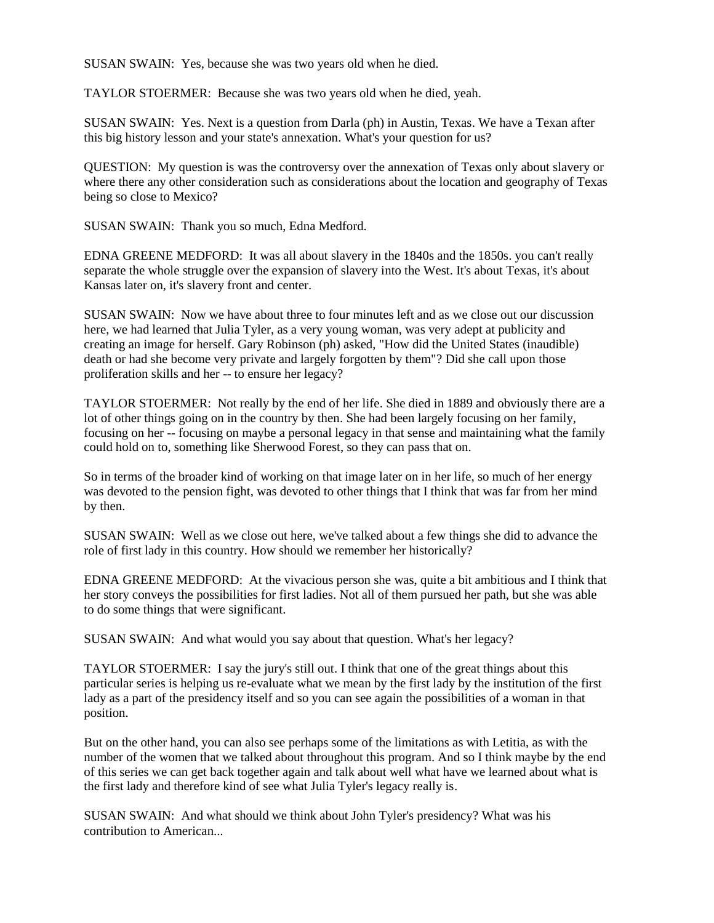SUSAN SWAIN: Yes, because she was two years old when he died.

TAYLOR STOERMER: Because she was two years old when he died, yeah.

SUSAN SWAIN: Yes. Next is a question from Darla (ph) in Austin, Texas. We have a Texan after this big history lesson and your state's annexation. What's your question for us?

QUESTION: My question is was the controversy over the annexation of Texas only about slavery or where there any other consideration such as considerations about the location and geography of Texas being so close to Mexico?

SUSAN SWAIN: Thank you so much, Edna Medford.

EDNA GREENE MEDFORD: It was all about slavery in the 1840s and the 1850s. you can't really separate the whole struggle over the expansion of slavery into the West. It's about Texas, it's about Kansas later on, it's slavery front and center.

SUSAN SWAIN: Now we have about three to four minutes left and as we close out our discussion here, we had learned that Julia Tyler, as a very young woman, was very adept at publicity and creating an image for herself. Gary Robinson (ph) asked, "How did the United States (inaudible) death or had she become very private and largely forgotten by them"? Did she call upon those proliferation skills and her -- to ensure her legacy?

TAYLOR STOERMER: Not really by the end of her life. She died in 1889 and obviously there are a lot of other things going on in the country by then. She had been largely focusing on her family, focusing on her -- focusing on maybe a personal legacy in that sense and maintaining what the family could hold on to, something like Sherwood Forest, so they can pass that on.

So in terms of the broader kind of working on that image later on in her life, so much of her energy was devoted to the pension fight, was devoted to other things that I think that was far from her mind by then.

SUSAN SWAIN: Well as we close out here, we've talked about a few things she did to advance the role of first lady in this country. How should we remember her historically?

EDNA GREENE MEDFORD: At the vivacious person she was, quite a bit ambitious and I think that her story conveys the possibilities for first ladies. Not all of them pursued her path, but she was able to do some things that were significant.

SUSAN SWAIN: And what would you say about that question. What's her legacy?

TAYLOR STOERMER: I say the jury's still out. I think that one of the great things about this particular series is helping us re-evaluate what we mean by the first lady by the institution of the first lady as a part of the presidency itself and so you can see again the possibilities of a woman in that position.

But on the other hand, you can also see perhaps some of the limitations as with Letitia, as with the number of the women that we talked about throughout this program. And so I think maybe by the end of this series we can get back together again and talk about well what have we learned about what is the first lady and therefore kind of see what Julia Tyler's legacy really is.

SUSAN SWAIN: And what should we think about John Tyler's presidency? What was his contribution to American...